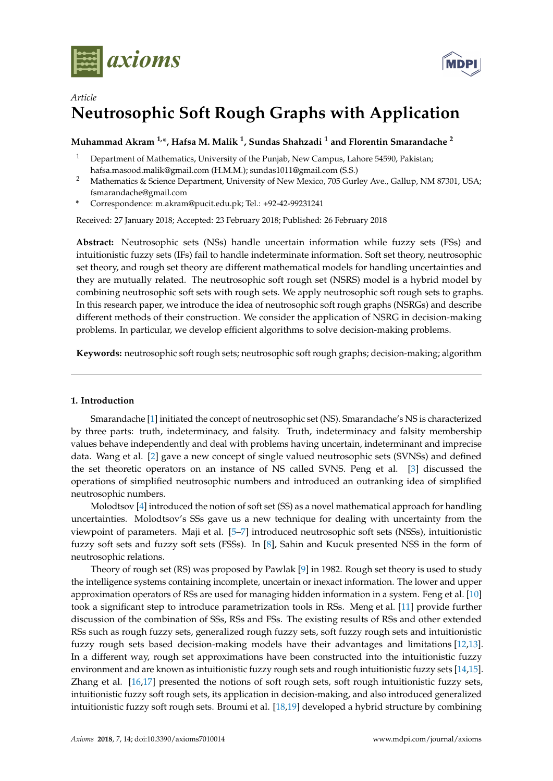



# *Article* **Neutrosophic Soft Rough Graphs with Application**

### **Muhammad Akram 1,\*, Hafsa M. Malik <sup>1</sup> , Sundas Shahzadi <sup>1</sup> and Florentin Smarandache <sup>2</sup>**

- <sup>1</sup> Department of Mathematics, University of the Punjab, New Campus, Lahore 54590, Pakistan; hafsa.masood.malik@gmail.com (H.M.M.); sundas1011@gmail.com (S.S.)
- <sup>2</sup> Mathematics & Science Department, University of New Mexico, 705 Gurley Ave., Gallup, NM 87301, USA; fsmarandache@gmail.com
- **\*** Correspondence: m.akram@pucit.edu.pk; Tel.: +92-42-99231241

Received: 27 January 2018; Accepted: 23 February 2018; Published: 26 February 2018

**Abstract:** Neutrosophic sets (NSs) handle uncertain information while fuzzy sets (FSs) and intuitionistic fuzzy sets (IFs) fail to handle indeterminate information. Soft set theory, neutrosophic set theory, and rough set theory are different mathematical models for handling uncertainties and they are mutually related. The neutrosophic soft rough set (NSRS) model is a hybrid model by combining neutrosophic soft sets with rough sets. We apply neutrosophic soft rough sets to graphs. In this research paper, we introduce the idea of neutrosophic soft rough graphs (NSRGs) and describe different methods of their construction. We consider the application of NSRG in decision-making problems. In particular, we develop efficient algorithms to solve decision-making problems.

**Keywords:** neutrosophic soft rough sets; neutrosophic soft rough graphs; decision-making; algorithm

#### **1. Introduction**

Smarandache [\[1\]](#page-25-0) initiated the concept of neutrosophic set (NS). Smarandache's NS is characterized by three parts: truth, indeterminacy, and falsity. Truth, indeterminacy and falsity membership values behave independently and deal with problems having uncertain, indeterminant and imprecise data. Wang et al. [\[2\]](#page-25-1) gave a new concept of single valued neutrosophic sets (SVNSs) and defined the set theoretic operators on an instance of NS called SVNS. Peng et al. [\[3\]](#page-25-2) discussed the operations of simplified neutrosophic numbers and introduced an outranking idea of simplified neutrosophic numbers.

Molodtsov [\[4\]](#page-25-3) introduced the notion of soft set (SS) as a novel mathematical approach for handling uncertainties. Molodtsov's SSs gave us a new technique for dealing with uncertainty from the viewpoint of parameters. Maji et al. [\[5–](#page-25-4)[7\]](#page-25-5) introduced neutrosophic soft sets (NSSs), intuitionistic fuzzy soft sets and fuzzy soft sets (FSSs). In [\[8\]](#page-25-6), Sahin and Kucuk presented NSS in the form of neutrosophic relations.

Theory of rough set (RS) was proposed by Pawlak [\[9\]](#page-25-7) in 1982. Rough set theory is used to study the intelligence systems containing incomplete, uncertain or inexact information. The lower and upper approximation operators of RSs are used for managing hidden information in a system. Feng et al. [\[10\]](#page-25-8) took a significant step to introduce parametrization tools in RSs. Meng et al. [\[11\]](#page-25-9) provide further discussion of the combination of SSs, RSs and FSs. The existing results of RSs and other extended RSs such as rough fuzzy sets, generalized rough fuzzy sets, soft fuzzy rough sets and intuitionistic fuzzy rough sets based decision-making models have their advantages and limitations [\[12,](#page-25-10)[13\]](#page-25-11). In a different way, rough set approximations have been constructed into the intuitionistic fuzzy environment and are known as intuitionistic fuzzy rough sets and rough intuitionistic fuzzy sets [\[14](#page-25-12)[,15\]](#page-25-13). Zhang et al. [\[16,](#page-26-0)[17\]](#page-26-1) presented the notions of soft rough sets, soft rough intuitionistic fuzzy sets, intuitionistic fuzzy soft rough sets, its application in decision-making, and also introduced generalized intuitionistic fuzzy soft rough sets. Broumi et al. [\[18,](#page-26-2)[19\]](#page-26-3) developed a hybrid structure by combining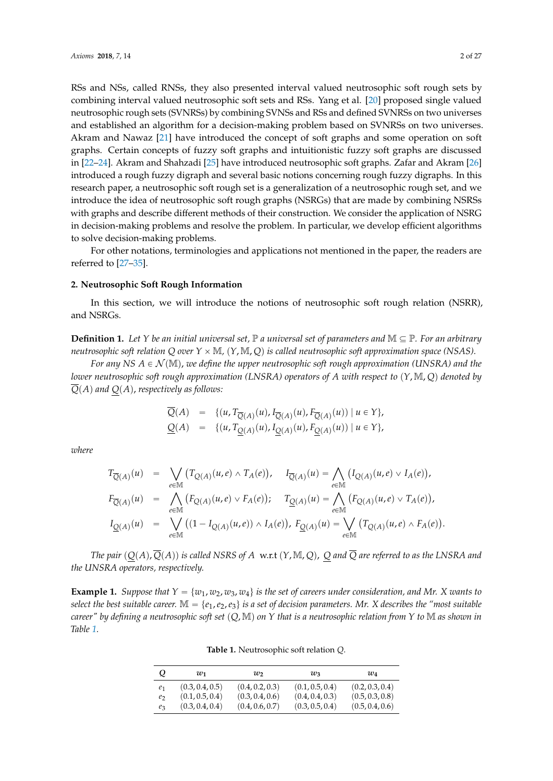RSs and NSs, called RNSs, they also presented interval valued neutrosophic soft rough sets by combining interval valued neutrosophic soft sets and RSs. Yang et al. [\[20\]](#page-26-4) proposed single valued neutrosophic rough sets (SVNRSs) by combining SVNSs and RSs and defined SVNRSs on two universes and established an algorithm for a decision-making problem based on SVNRSs on two universes. Akram and Nawaz [\[21\]](#page-26-5) have introduced the concept of soft graphs and some operation on soft graphs. Certain concepts of fuzzy soft graphs and intuitionistic fuzzy soft graphs are discussed in [\[22–](#page-26-6)[24\]](#page-26-7). Akram and Shahzadi [\[25\]](#page-26-8) have introduced neutrosophic soft graphs. Zafar and Akram [\[26\]](#page-26-9) introduced a rough fuzzy digraph and several basic notions concerning rough fuzzy digraphs. In this research paper, a neutrosophic soft rough set is a generalization of a neutrosophic rough set, and we introduce the idea of neutrosophic soft rough graphs (NSRGs) that are made by combining NSRSs with graphs and describe different methods of their construction. We consider the application of NSRG in decision-making problems and resolve the problem. In particular, we develop efficient algorithms to solve decision-making problems.

For other notations, terminologies and applications not mentioned in the paper, the readers are referred to [\[27–](#page-26-10)[35\]](#page-26-11).

#### **2. Neutrosophic Soft Rough Information**

In this section, we will introduce the notions of neutrosophic soft rough relation (NSRR), and NSRGs.

<span id="page-1-0"></span>**Definition 1.** Let *Y* be an initial universal set,  $\mathbb P$  a universal set of parameters and  $\mathbb M \subseteq \mathbb P$ . For an arbitrary *neutrosophic soft relation Q over*  $Y \times M$ *,*  $(Y, M, Q)$  *is called neutrosophic soft approximation space (NSAS).* 

*For any NS*  $A \in \mathcal{N}(\mathbb{M})$ , *we define the upper neutrosophic soft rough approximation (UNSRA) and the lower neutrosophic soft rough approximation (LNSRA) operators of A with respect to*  $(Y, M, Q)$  denoted by  $Q(A)$  and  $Q(A)$ , respectively as follows:

$$
\overline{Q}(A) = \{ (u, T_{\overline{Q}(A)}(u), I_{\overline{Q}(A)}(u), F_{\overline{Q}(A)}(u)) \mid u \in Y \},\
$$
  

$$
\underline{Q}(A) = \{ (u, T_{\underline{Q}(A)}(u), I_{\underline{Q}(A)}(u), F_{\underline{Q}(A)}(u)) \mid u \in Y \},\
$$

*where*

$$
T_{\overline{Q}(A)}(u) = \bigvee_{e \in \mathbb{M}} (T_{Q(A)}(u,e) \wedge T_A(e)), \quad I_{\overline{Q}(A)}(u) = \bigwedge_{e \in \mathbb{M}} (I_{Q(A)}(u,e) \vee I_A(e)),
$$
  
\n
$$
F_{\overline{Q}(A)}(u) = \bigwedge_{e \in \mathbb{M}} (F_{Q(A)}(u,e) \vee F_A(e)); \quad T_{\underline{Q}(A)}(u) = \bigwedge_{e \in \mathbb{M}} (F_{Q(A)}(u,e) \vee T_A(e)),
$$
  
\n
$$
I_{\underline{Q}(A)}(u) = \bigvee_{e \in \mathbb{M}} ((1 - I_{Q(A)}(u,e)) \wedge I_A(e)), F_{\underline{Q}(A)}(u) = \bigvee_{e \in \mathbb{M}} (T_{Q(A)}(u,e) \wedge F_A(e)).
$$

*The pair*  $(Q(A), \overline{Q}(A))$  *is called NSRS of A* w.r.t  $(Y, M, Q)$ , *Q and*  $\overline{Q}$  *are referred to as the LNSRA and the UNSRA operators, respectively.*

**Example 1.** *Suppose that*  $Y = \{w_1, w_2, w_3, w_4\}$  *is the set of careers under consideration, and Mr. X wants to select the best suitable career.*  $\mathbb{M} = \{e_1, e_2, e_3\}$  *is a set of decision parameters. Mr. X describes the "most suitable career" by defining a neutrosophic soft set*  $(Q, M)$  *on*  $Y$  *that is a neutrosophic relation from*  $Y$  *to*  $M$  *as shown in Table [1.](#page-5-0)*

**Table 1.** Neutrosophic soft relation *Q*.

| Q              | w1              | w               | $w_3$           | $w_4$           |
|----------------|-----------------|-----------------|-----------------|-----------------|
| e <sub>1</sub> | (0.3, 0.4, 0.5) | (0.4, 0.2, 0.3) | (0.1, 0.5, 0.4) | (0.2, 0.3, 0.4) |
| e <sub>2</sub> | (0.1, 0.5, 0.4) | (0.3, 0.4, 0.6) | (0.4, 0.4, 0.3) | (0.5, 0.3, 0.8) |
| $e_3$          | (0.3, 0.4, 0.4) | (0.4, 0.6, 0.7) | (0.3, 0.5, 0.4) | (0.5, 0.4, 0.6) |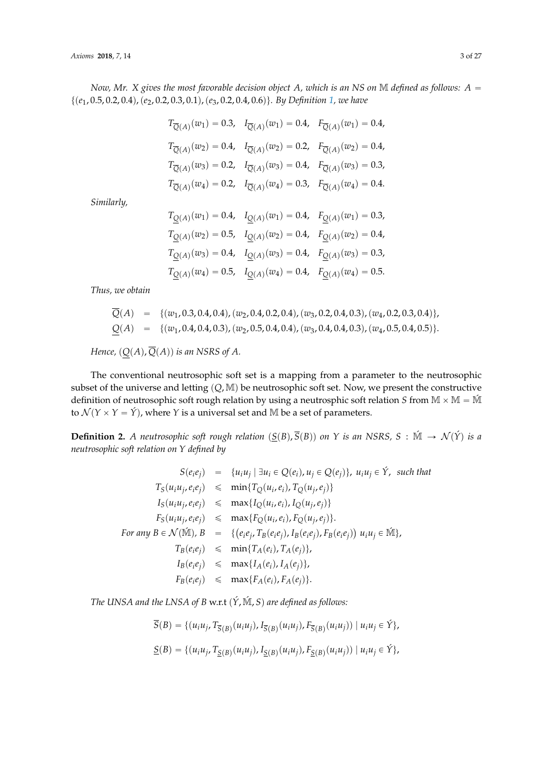*Now, Mr. X gives the most favorable decision object A, which is an NS on*  $M$  *defined as follows:*  $A =$ tp*e*1, 0.5, 0.2, 0.4q,p*e*2, 0.2, 0.3, 0.1q,p*e*3, 0.2, 0.4, 0.6qu*. By Definition [1,](#page-1-0) we have*

$$
T_{\overline{Q}(A)}(w_1) = 0.3, \quad I_{\overline{Q}(A)}(w_1) = 0.4, \quad F_{\overline{Q}(A)}(w_1) = 0.4,
$$
  
\n
$$
T_{\overline{Q}(A)}(w_2) = 0.4, \quad I_{\overline{Q}(A)}(w_2) = 0.2, \quad F_{\overline{Q}(A)}(w_2) = 0.4,
$$
  
\n
$$
T_{\overline{Q}(A)}(w_3) = 0.2, \quad I_{\overline{Q}(A)}(w_3) = 0.4, \quad F_{\overline{Q}(A)}(w_3) = 0.3,
$$
  
\n
$$
T_{\overline{Q}(A)}(w_4) = 0.2, \quad I_{\overline{Q}(A)}(w_4) = 0.3, \quad F_{\overline{Q}(A)}(w_4) = 0.4.
$$

*Similarly,*

$$
T_{\underline{Q}(A)}(w_1) = 0.4, \quad I_{\underline{Q}(A)}(w_1) = 0.4, \quad F_{\underline{Q}(A)}(w_1) = 0.3,
$$
  
\n
$$
T_{\underline{Q}(A)}(w_2) = 0.5, \quad I_{\underline{Q}(A)}(w_2) = 0.4, \quad F_{\underline{Q}(A)}(w_2) = 0.4,
$$
  
\n
$$
T_{\underline{Q}(A)}(w_3) = 0.4, \quad I_{\underline{Q}(A)}(w_3) = 0.4, \quad F_{\underline{Q}(A)}(w_3) = 0.3,
$$
  
\n
$$
T_{\underline{Q}(A)}(w_4) = 0.5, \quad I_{\underline{Q}(A)}(w_4) = 0.4, \quad F_{\underline{Q}(A)}(w_4) = 0.5.
$$

*Thus, we obtain*

$$
Q(A) = \{(w_1, 0.3, 0.4, 0.4), (w_2, 0.4, 0.2, 0.4), (w_3, 0.2, 0.4, 0.3), (w_4, 0.2, 0.3, 0.4)\},\
$$
  

$$
Q(A) = \{(w_1, 0.4, 0.4, 0.3), (w_2, 0.5, 0.4, 0.4), (w_3, 0.4, 0.4, 0.3), (w_4, 0.5, 0.4, 0.5)\}.
$$

*Hence,*  $(Q(A), \overline{Q}(A))$  *is an NSRS of A.* 

The conventional neutrosophic soft set is a mapping from a parameter to the neutrosophic subset of the universe and letting  $(Q, M)$  be neutrosophic soft set. Now, we present the constructive definition of neutrosophic soft rough relation by using a neutrosphic soft relation *S* from  $M \times M = \hat{M}$ to  $\mathcal{N}(Y \times Y = \hat{Y})$ , where *Y* is a universal set and M be a set of parameters.

**Definition 2.** A neutrosophic soft rough relation  $(S(B), \overline{S}(B))$  on *Y* is an NSRS, *S* : M  $\rightarrow$  N(Y) is a *neutrosophic soft relation on Y defined by*

$$
S(e_i e_j) = \{u_i u_j | \exists u_i \in Q(e_i), u_j \in Q(e_j)\}, u_i u_j \in \hat{Y}, \text{ such that}
$$
  
\n
$$
T_S(u_i u_j, e_i e_j) \leq \min\{T_Q(u_i, e_i), T_Q(u_j, e_j)\}
$$
  
\n
$$
I_S(u_i u_j, e_i e_j) \leq \max\{I_Q(u_i, e_i), I_Q(u_j, e_j)\}
$$
  
\n
$$
F_S(u_i u_j, e_i e_j) \leq \max\{F_Q(u_i, e_i), F_Q(u_j, e_j)\}.
$$
  
\nFor any  $B \in \mathcal{N}(\hat{M})$ ,  $B = \{(e_i e_j, T_B(e_i e_j), I_B(e_i e_j), F_B(e_i e_j)) u_i u_j \in \hat{M}\},$   
\n
$$
T_B(e_i e_j) \leq \min\{T_A(e_i), T_A(e_j)\},
$$
  
\n
$$
I_B(e_i e_j) \leq \max\{I_A(e_i), I_A(e_j)\}.
$$
  
\n
$$
F_B(e_i e_j) \leq \max\{F_A(e_i), F_A(e_j)\}.
$$

*The UNSA and the LNSA of B w.r.t (Ý, M
, S) are defined as follows:* 

 $\overline{S}(B) = \{ (u_iu_j, T_{\overline{S}(B)}(u_iu_j), I_{\overline{S}(B)}(u_iu_j), F_{\overline{S}(B)}(u_iu_j)) | u_iu_j \in \acute{Y} \},\$  $\underline{S}(B) = \{ (u_i u_j, T_{\underline{S}(B)}(u_i u_j), I_{\underline{S}(B)}(u_i u_j), F_{\underline{S}(B)}(u_i u_j)) | u_i u_j \in \acute{Y} \},$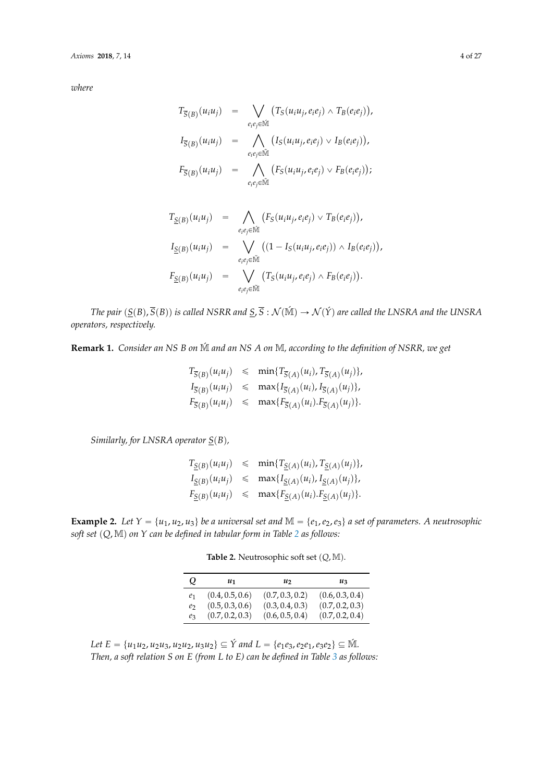*where*

$$
T_{\overline{S}(B)}(u_iu_j) = \bigvee_{e_ie_j \in \overline{M}} (T_S(u_iu_j, e_ie_j) \wedge T_B(e_ie_j)),
$$
  
\n
$$
I_{\overline{S}(B)}(u_iu_j) = \bigwedge_{e_ie_j \in \overline{M}} (I_S(u_iu_j, e_ie_j) \vee I_B(e_ie_j)),
$$
  
\n
$$
F_{\overline{S}(B)}(u_iu_j) = \bigwedge_{e_ie_j \in \overline{M}} (F_S(u_iu_j, e_ie_j) \vee F_B(e_ie_j));
$$

$$
T_{\underline{S}(B)}(u_i u_j) = \bigwedge_{e_i e_j \in \widetilde{M}} (F_S(u_i u_j, e_i e_j) \vee T_B(e_i e_j)),
$$
  
\n
$$
I_{\underline{S}(B)}(u_i u_j) = \bigvee_{e_i e_j \in \widetilde{M}} ((1 - I_S(u_i u_j, e_i e_j)) \wedge I_B(e_i e_j)),
$$
  
\n
$$
F_{\underline{S}(B)}(u_i u_j) = \bigvee_{e_i e_j \in \widetilde{M}} (T_S(u_i u_j, e_i e_j) \wedge F_B(e_i e_j)).
$$

*The pair*  $(S(B), \overline{S}(B))$  *is called NSRR and*  $S, \overline{S}: \mathcal{N}(\mathbb{M}) \to \mathcal{N}(\hat{Y})$  *are called the LNSRA and the UNSRA operators, respectively.*

**Remark 1.** *Consider an NS B on* M´ *and an NS A on* M*, according to the definition of NSRR, we get*

$$
T_{\overline{S}(B)}(u_i u_j) \leq \min\{T_{\overline{S}(A)}(u_i), T_{\overline{S}(A)}(u_j)\},
$$
  
\n
$$
I_{\overline{S}(B)}(u_i u_j) \leq \max\{I_{\overline{S}(A)}(u_i), I_{\overline{S}(A)}(u_j)\},
$$
  
\n
$$
F_{\overline{S}(B)}(u_i u_j) \leq \max\{F_{\overline{S}(A)}(u_i), F_{\overline{S}(A)}(u_j)\}.
$$

*Similarly, for LNSRA operator*  $S(B)$ *,* 

|  | $T_{\underline{S}(B)}(u_iu_j) \leq \min\{T_{\underline{S}(A)}(u_i), T_{\underline{S}(A)}(u_j)\},$ |
|--|---------------------------------------------------------------------------------------------------|
|  | $I_{\underline{S}(B)}(u_iu_j) \leq \max\{I_{\underline{S}(A)}(u_i), I_{\underline{S}(A)}(u_j)\},$ |
|  | $F_{\underline{S}(B)}(u_iu_j) \leq \max\{F_{\underline{S}(A)}(u_i).F_{\underline{S}(A)}(u_j)\}.$  |

<span id="page-3-0"></span>**Example 2.** Let  $Y = \{u_1, u_2, u_3\}$  be a universal set and  $\mathbb{M} = \{e_1, e_2, e_3\}$  a set of parameters. A neutrosophic *soft set*  $(Q, M)$  *on Y can be defined in tabular form in Table [2](#page-3-0) as follows:* 

**Table 2.** Neutrosophic soft set  $(Q, M)$ .

| Q     | $u_1$           | u,              | uз              |
|-------|-----------------|-----------------|-----------------|
| $e_1$ | (0.4, 0.5, 0.6) | (0.7, 0.3, 0.2) | (0.6, 0.3, 0.4) |
| e     | (0.5, 0.3, 0.6) | (0.3, 0.4, 0.3) | (0.7, 0.2, 0.3) |
| ez    | (0.7, 0.2, 0.3) | (0.6, 0.5, 0.4) | (0.7, 0.2, 0.4) |

*Let*  $E = \{u_1u_2, u_2u_3, u_2u_2, u_3u_2\} \subseteq \hat{Y}$  and  $L = \{e_1e_3, e_2e_1, e_3e_2\} \subseteq \hat{M}$ . *Then, a soft relation S on E (from L to E) can be defined in Table [3](#page-4-0) as follows:*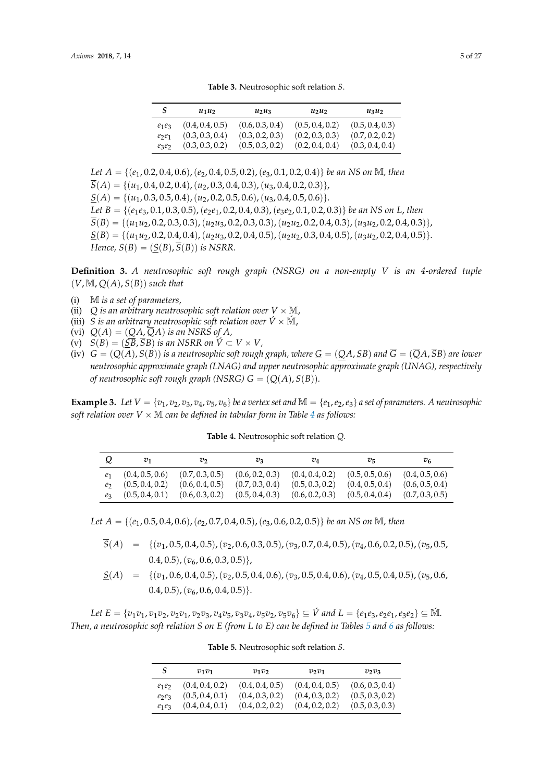**Table 3.** Neutrosophic soft relation *S*.

<span id="page-4-0"></span>

|          | $u_1u_2$        | $u_2u_3$        | $u_2u_2$        | $u_3u_2$        |
|----------|-----------------|-----------------|-----------------|-----------------|
| $e_1e_3$ | (0.4, 0.4, 0.5) | (0.6, 0.3, 0.4) | (0.5, 0.4, 0.2) | (0.5, 0.4, 0.3) |
| $e_2e_1$ | (0.3, 0.3, 0.4) | (0.3, 0.2, 0.3) | (0.2, 0.3, 0.3) | (0.7, 0.2, 0.2) |
| $e_3e_2$ | (0.3, 0.3, 0.2) | (0.5, 0.3, 0.2) | (0.2, 0.4, 0.4) | (0.3, 0.4, 0.4) |

*Let*  $A = \{(e_1, 0.2, 0.4, 0.6), (e_2, 0.4, 0.5, 0.2), (e_3, 0.1, 0.2, 0.4)\}$  *be an NS on* M*, then*  $\overline{S}(A) = \{(u_1, 0.4, 0.2, 0.4), (u_2, 0.3, 0.4, 0.3), (u_3, 0.4, 0.2, 0.3)\},\$  $\underline{S}(A) = \{(u_1, 0.3, 0.5, 0.4), (u_2, 0.2, 0.5, 0.6), (u_3, 0.4, 0.5, 0.6)\}.$ *Let*  $B = \{(e_1e_3, 0.1, 0.3, 0.5), (e_2e_1, 0.2, 0.4, 0.3), (e_3e_2, 0.1, 0.2, 0.3)\}\$  *be an NS on L, then*  $\overline{S}(B) = \{(u_1u_2, 0.2, 0.3, 0.3), (u_2u_3, 0.2, 0.3, 0.3), (u_2u_2, 0.2, 0.4, 0.3), (u_3u_2, 0.2, 0.4, 0.3)\},\}$  $S(B) = \{(u_1u_2, 0.2, 0.4, 0.4), (u_2u_3, 0.2, 0.4, 0.5), (u_2u_2, 0.3, 0.4, 0.5), (u_3u_2, 0.2, 0.4, 0.5)\}.$ *Hence,*  $S(B) = (S(B), \overline{S}(B))$  *is NSRR.* 

**Definition 3.** *A neutrosophic soft rough graph (NSRG) on a non-empty V is an 4-ordered tuple*  $(V, M, Q(A), S(B))$  *such that* 

- (i) M *is a set of parameters,*
- (ii)  $Q$  is an arbitrary neutrosophic soft relation over  $V \times M$ ,
- (iii) *S* is an arbitrary neutrosophic soft relation over  $\acute{V} \times \acute{M}$ ,
- (vi)  $Q(A) = (QA, \overline{QA})$  *is an NSRS of A,*
- $\widetilde{S(B)} = (\widetilde{SB}, \widetilde{SB})$  *is an NSRR on*  $\widetilde{V} \subset V \times V$ ,
- (iv)  $G = (Q(A), S(B))$  is a neutrosophic soft rough graph, where  $G = (QA, SB)$  and  $\overline{G} = (\overline{Q}A, \overline{S}B)$  are lower *neutrosophic approximate graph (LNAG) and upper neutrosophic approximate graph (UNAG), respectively of neutrosophic soft rough graph (NSRG)*  $G = (Q(A), S(B))$ .

<span id="page-4-1"></span>**Example 3.** Let  $V = \{v_1, v_2, v_3, v_4, v_5, v_6\}$  be a vertex set and  $\mathbb{M} = \{e_1, e_2, e_3\}$  a set of parameters. A neutrosophic *soft relation over*  $V \times M$  *can be defined in tabular form in Table [4](#page-4-1) as follows:* 

**Table 4.** Neutrosophic soft relation *Q*.

|                | $v_1$           | v               | $v_3$           | $v_4$           | $v_{5}$         | V6              |
|----------------|-----------------|-----------------|-----------------|-----------------|-----------------|-----------------|
| e <sub>1</sub> | (0.4, 0.5, 0.6) | (0.7, 0.3, 0.5) | (0.6, 0.2, 0.3) | (0.4, 0.4, 0.2) | (0.5, 0.5, 0.6) | (0.4, 0.5, 0.6) |
| e              | (0.5, 0.4, 0.2) | (0.6, 0.4, 0.5) | (0.7, 0.3, 0.4) | (0.5, 0.3, 0.2) | (0.4, 0.5, 0.4) | (0.6, 0.5, 0.4) |
| eз             | (0.5, 0.4, 0.1) | (0.6, 0.3, 0.2) | (0.5, 0.4, 0.3) | (0.6, 0.2, 0.3) | (0.5, 0.4, 0.4) | (0.7, 0.3, 0.5) |

*Let*  $A = \{(e_1, 0.5, 0.4, 0.6), (e_2, 0.7, 0.4, 0.5), (e_3, 0.6, 0.2, 0.5)\}$  be an NS on M, then

- $\overline{S}(A) = \{(v_1, 0.5, 0.4, 0.5), (v_2, 0.6, 0.3, 0.5), (v_3, 0.7, 0.4, 0.5), (v_4, 0.6, 0.2, 0.5), (v_5, 0.5, 0.4, 0.5)\}$  $(0.4, 0.5), (v_6, 0.6, 0.3, 0.5)\},$
- $S(A) = \{ (v_1, 0.6, 0.4, 0.5), (v_2, 0.5, 0.4, 0.6), (v_3, 0.5, 0.4, 0.6), (v_4, 0.5, 0.4, 0.5), (v_5, 0.6, 0.4, 0.5, 0.4, 0.5, 0.4, 0.5, 0.4, 0.5, 0.4, 0.5, 0.4, 0.5, 0.4, 0.5, 0.4, 0.5, 0.4, 0.5, 0.4, 0.5, 0.4, 0.5, 0.4, 0.5, 0.4$  $(0.4, 0.5), (v_6, 0.6, 0.4, 0.5)\}.$

<span id="page-4-2"></span>Let  $E = \{v_1v_1, v_1v_2, v_2v_1, v_2v_3, v_4v_5, v_3v_4, v_5v_2, v_5v_6\} \subseteq \hat{V}$  and  $L = \{e_1e_3, e_2e_1, e_3e_2\} \subseteq \hat{M}$ . *Then, a neutrosophic soft relation S on E (from L to E) can be defined in Tables [5](#page-4-2) and [6](#page-5-1) as follows:*

|                                  | $v_1v_1$                                              | $v_1v_2$                                              | $v_2v_1$                                              | $v_2v_3$                                              |
|----------------------------------|-------------------------------------------------------|-------------------------------------------------------|-------------------------------------------------------|-------------------------------------------------------|
| $e_1e_2$<br>$e_2e_3$<br>$e_1e_3$ | (0.4, 0.4, 0.2)<br>(0.5, 0.4, 0.1)<br>(0.4, 0.4, 0.1) | (0.4, 0.4, 0.5)<br>(0.4, 0.3, 0.2)<br>(0.4, 0.2, 0.2) | (0.4, 0.4, 0.5)<br>(0.4, 0.3, 0.2)<br>(0.4, 0.2, 0.2) | (0.6, 0.3, 0.4)<br>(0.5, 0.3, 0.2)<br>(0.5, 0.3, 0.3) |

**Table 5.** Neutrosophic soft relation *S*.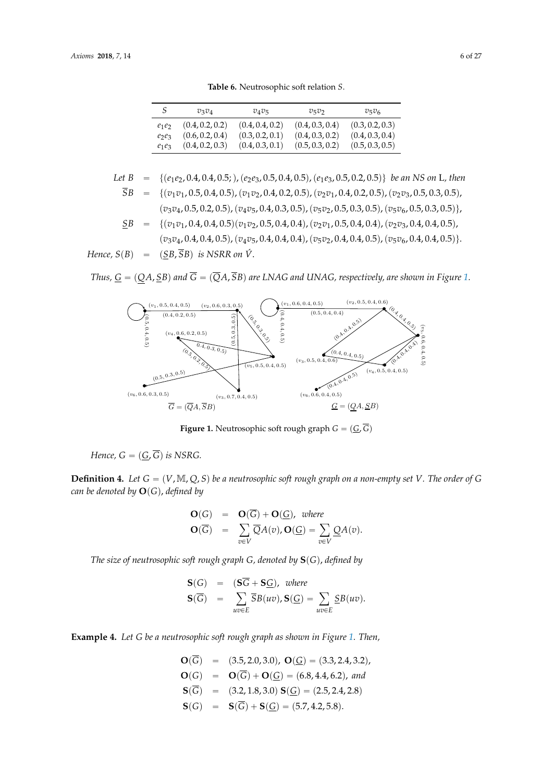**Table 6.** Neutrosophic soft relation *S*.

<span id="page-5-1"></span>

|          | $v_3v_4$        | $v_4v_5$        | $v_5v_2$        | $v_5v_6$        |
|----------|-----------------|-----------------|-----------------|-----------------|
| $e_1e_2$ | (0.4, 0.2, 0.2) | (0.4, 0.4, 0.2) | (0.4, 0.3, 0.4) | (0.3, 0.2, 0.3) |
| $e_2e_3$ | (0.6, 0.2, 0.4) | (0.3, 0.2, 0.1) | (0.4, 0.3, 0.2) | (0.4, 0.3, 0.4) |
| $e_1e_3$ | (0.4, 0.2, 0.3) | (0.4, 0.3, 0.1) | (0.5, 0.3, 0.2) | (0.5, 0.3, 0.5) |

Let 
$$
B = \{(e_1e_2, 0.4, 0.4, 0.5), (e_2e_3, 0.5, 0.4, 0.5), (e_1e_3, 0.5, 0.2, 0.5)\}
$$
 be an NS on L, then  
\n $\overline{SB} = \{(v_1v_1, 0.5, 0.4, 0.5), (v_1v_2, 0.4, 0.2, 0.5), (v_2v_1, 0.4, 0.2, 0.5), (v_2v_3, 0.5, 0.3, 0.5), (v_3v_4, 0.5, 0.2, 0.5), (v_4v_5, 0.4, 0.3, 0.5), (v_5v_2, 0.5, 0.3, 0.5), (v_5v_6, 0.5, 0.3, 0.5)\}$ ,

$$
\underline{SB} = \{(v_1v_1, 0.4, 0.4, 0.5)(v_1v_2, 0.5, 0.4, 0.4), (v_2v_1, 0.5, 0.4, 0.4), (v_2v_3, 0.4, 0.4, 0.5), (v_3v_4, 0.4, 0.4, 0.5), (v_4v_5, 0.4, 0.4, 0.4), (v_5v_2, 0.4, 0.4, 0.5), (v_5v_6, 0.4, 0.4, 0.5)\}
$$
\nHence,  $S(B) = (\underline{SB}, \overline{SB})$  is NSRR on  $\hat{V}$ .

<span id="page-5-0"></span>Thus,  $\underline{G}=(QA,\underline{S}B)$  and  $\overline{G}=(\overline{Q}A,\overline{S}B)$  are LNAG and UNAG, respectively, are shown in Figure [1.](#page-5-0)  $\frac{\sum_{i=1}^{n} \sum_{j=1}^{n} y_{ij}}{n}$ 



**Figure 1.** Neutrosophic soft rough graph  $G = (\underline{G}, G)$ 

 $Hence, G = (\underline{G}, \overline{G})$  is NSRG.

**Definition 4.** Let  $G = (V, M, Q, S)$  be a neutrosophic soft rough graph on a non-empty set  $V$ . The order of  $G$ can be denoted by  $\mathbf{O}(G)$ , defined by

$$
\mathbf{O}(G) = \mathbf{O}(\overline{G}) + \mathbf{O}(\underline{G}), \text{ where}
$$

$$
\mathbf{O}(\overline{G}) = \sum_{v \in V} \overline{Q}A(v), \mathbf{O}(\underline{G}) = \sum_{v \in V} \underline{Q}A(v).
$$

 $\overline{G}$  =  $\overline{G}$  =  $\overline{G}$  $\mathbb{F}^n$  $\begin{bmatrix} 1 & 1 & 1 & 0 \\ 0 & 1 & 0 & 0 \\ 0 & 0 & 0 & 0 \\ 0 & 0 & 0 & 0 \\ 0 & 0 & 0 & 0 \\ 0 & 0 & 0 & 0 \\ 0 & 0 & 0 & 0 \\ 0 & 0 & 0 & 0 \\ 0 & 0 & 0 & 0 \\ 0 & 0 & 0 & 0 \\ 0 & 0 & 0 & 0 & 0 \\ 0 & 0 & 0 & 0 & 0 \\ 0 & 0 & 0 & 0 & 0 \\ 0 & 0 & 0 & 0 & 0 & 0 \\ 0 & 0 & 0 & 0 & 0 & 0 \\ 0 & 0 & 0 & 0 &$  $\mathcal{L}$ SB(uv). *The size of neutrosophic soft rough graph G, denoted by* **S**p*G*q, *defined by*

$$
\begin{array}{rcl}\n\mathbf{S}(G) & = & (\mathbf{S}\overline{G} + \mathbf{S}\underline{G}), \ \text{where} \\
\mathbf{S}(\overline{G}) & = & \sum_{uv \in E} \overline{S}B(uv), \mathbf{S}(\underline{G}) = \sum_{uv \in E} \underline{S}B(uv).\n\end{array}
$$

**Example 4.** *Let G be a neutrosophic soft rough graph as shown in Figure [1.](#page-5-0) Then,*

$$
O(\overline{G}) = (3.5, 2.0, 3.0), O(\underline{G}) = (3.3, 2.4, 3.2),
$$
  
\n
$$
O(G) = O(\overline{G}) + O(\underline{G}) = (6.8, 4.4, 6.2), and
$$
  
\n
$$
S(\overline{G}) = (3.2, 1.8, 3.0) S(\underline{G}) = (2.5, 2.4, 2.8)
$$
  
\n
$$
S(G) = S(\overline{G}) + S(\underline{G}) = (5.7, 4.2, 5.8).
$$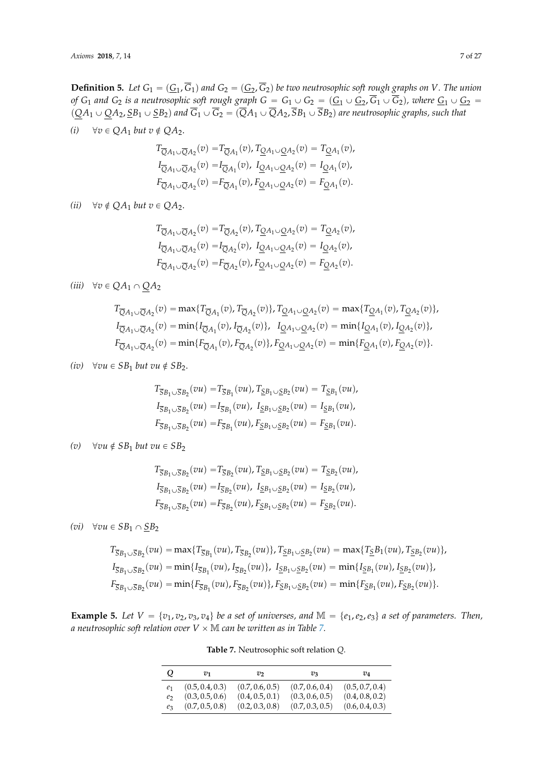**Definition 5.** Let  $G_1 = (\underline{G}_1, G_1)$  and  $G_2 = (\underline{G}_2, G_2)$  be two neutrosophic soft rough graphs on *V*. The union *of*  $G_1$  and  $G_2$  *is a neutrosophic soft rough graph*  $G = G_1 \cup G_2 = (\underline{G}_1 \cup \underline{G}_2, G_1 \cup G_2)$ , where  $\underline{G}_1 \cup \underline{G}_2 =$  $p_{\overline{Q}A_1} \cup \underline{Q}A_2$ ,  $\underline{S}B_1 \cup \underline{S}B_2$  and  $\overline{G}_1 \cup \overline{G}_2 = (\overline{Q}A_1 \cup \overline{Q}A_2, \overline{S}B_1 \cup \overline{S}B_2)$  are neutrosophic graphs, such that

*(i)*  $\forall v \in QA_1 \; but \; v \notin QA_2.$ 

$$
T_{\overline{Q}A_1 \cup \overline{Q}A_2}(v) = T_{\overline{Q}A_1}(v), T_{\underline{Q}A_1 \cup \underline{Q}A_2}(v) = T_{\underline{Q}A_1}(v),
$$
  
\n
$$
I_{\overline{Q}A_1 \cup \overline{Q}A_2}(v) = I_{\overline{Q}A_1}(v), I_{\underline{Q}A_1 \cup \underline{Q}A_2}(v) = I_{\underline{Q}A_1}(v),
$$
  
\n
$$
F_{\overline{Q}A_1 \cup \overline{Q}A_2}(v) = F_{\overline{Q}A_1}(v), F_{\underline{Q}A_1 \cup \underline{Q}A_2}(v) = F_{\underline{Q}A_1}(v).
$$

*(ii)*  $\forall v \notin QA_1$  *but*  $v \in QA_2$ .

$$
T_{\overline{Q}A_1 \cup \overline{Q}A_2}(v) = T_{\overline{Q}A_2}(v), T_{\underline{Q}A_1 \cup \underline{Q}A_2}(v) = T_{\underline{Q}A_2}(v),
$$
  
\n
$$
I_{\overline{Q}A_1 \cup \overline{Q}A_2}(v) = I_{\overline{Q}A_2}(v), I_{\underline{Q}A_1 \cup \underline{Q}A_2}(v) = I_{\underline{Q}A_2}(v),
$$
  
\n
$$
F_{\overline{Q}A_1 \cup \overline{Q}A_2}(v) = F_{\overline{Q}A_2}(v), F_{\underline{Q}A_1 \cup \underline{Q}A_2}(v) = F_{\underline{Q}A_2}(v).
$$

 $(iii)$   $\forall v \in QA_1 \cap QA_2$ 

$$
T_{\overline{Q}A_1 \cup \overline{Q}A_2}(v) = \max\{T_{\overline{Q}A_1}(v), T_{\overline{Q}A_2}(v)\}, T_{\underline{Q}A_1 \cup \underline{Q}A_2}(v) = \max\{T_{\underline{Q}A_1}(v), T_{\underline{Q}A_2}(v)\},
$$
  
\n
$$
I_{\overline{Q}A_1 \cup \overline{Q}A_2}(v) = \min\{I_{\overline{Q}A_1}(v), I_{\overline{Q}A_2}(v)\}, I_{\underline{Q}A_1 \cup \underline{Q}A_2}(v) = \min\{I_{\underline{Q}A_1}(v), I_{\underline{Q}A_2}(v)\},
$$
  
\n
$$
F_{\overline{Q}A_1 \cup \overline{Q}A_2}(v) = \min\{F_{\overline{Q}A_1}(v), F_{\overline{Q}A_2}(v)\}, F_{\underline{Q}A_1 \cup \underline{Q}A_2}(v) = \min\{F_{\underline{Q}A_1}(v), F_{\underline{Q}A_2}(v)\}.
$$

*(iv)*  $\forall vu \in SB_1$  *but vu*  $\notin SB_2$ *.* 

$$
T_{\overline{S}B_1 \cup \overline{S}B_2}(vu) = T_{\overline{S}B_1}(vu), T_{\underline{S}B_1 \cup \underline{S}B_2}(vu) = T_{\underline{S}B_1}(vu),
$$
  
\n
$$
I_{\overline{S}B_1 \cup \overline{S}B_2}(vu) = I_{\overline{S}B_1}(vu), I_{\underline{S}B_1 \cup \underline{S}B_2}(vu) = I_{\underline{S}B_1}(vu),
$$
  
\n
$$
F_{\overline{S}B_1 \cup \overline{S}B_2}(vu) = F_{\overline{S}B_1}(vu), F_{\underline{S}B_1 \cup \underline{S}B_2}(vu) = F_{\underline{S}B_1}(vu).
$$

*(v)*  $\forall vu \notin SB_1$  *but vu*  $\in SB_2$ 

$$
T_{\overline{S}B_1 \cup \overline{S}B_2}(vu) = T_{\overline{S}B_2}(vu), T_{\underline{S}B_1 \cup \underline{S}B_2}(vu) = T_{\underline{S}B_2}(vu),
$$
  
\n
$$
I_{\overline{S}B_1 \cup \overline{S}B_2}(vu) = I_{\overline{S}B_2}(vu), I_{\underline{S}B_1 \cup \underline{S}B_2}(vu) = I_{\underline{S}B_2}(vu),
$$
  
\n
$$
F_{\overline{S}B_1 \cup \overline{S}B_2}(vu) = F_{\overline{S}B_2}(vu), F_{\underline{S}B_1 \cup \underline{S}B_2}(vu) = F_{\underline{S}B_2}(vu).
$$

*(vi)*  $\forall vu \in SB_1 \cap SB_2$ 

$$
T_{\overline{S}B_1 \cup \overline{S}B_2}(vu) = \max\{T_{\overline{S}B_1}(vu), T_{\overline{S}B_2}(vu)\}, T_{\underline{S}B_1 \cup \underline{S}B_2}(vu) = \max\{T_{\underline{S}}B_1(vu), T_{\underline{S}B_2}(vu)\},
$$
  
\n
$$
I_{\overline{S}B_1 \cup \overline{S}B_2}(vu) = \min\{I_{\overline{S}B_1}(vu), I_{\overline{S}B_2}(vu)\}, I_{\underline{S}B_1 \cup \underline{S}B_2}(vu) = \min\{I_{\underline{S}B_1}(vu), I_{\underline{S}B_2}(vu)\},
$$
  
\n
$$
F_{\overline{S}B_1 \cup \overline{S}B_2}(vu) = \min\{F_{\overline{S}B_1}(vu), F_{\overline{S}B_2}(vu)\}, F_{\underline{S}B_1 \cup \underline{S}B_2}(vu) = \min\{F_{\underline{S}B_1}(vu), F_{\underline{S}B_2}(vu)\}.
$$

<span id="page-6-0"></span>**Example 5.** Let  $V = \{v_1, v_2, v_3, v_4\}$  be a set of universes, and  $M = \{e_1, e_2, e_3\}$  a set of parameters. Then, *a neutrosophic soft relation over*  $V \times M$  *can be written as in Table [7.](#page-6-0)* 

| Q              | $v_1$           | $v_{2}$         | $v_{3}$         | $v_4$           |
|----------------|-----------------|-----------------|-----------------|-----------------|
| e <sub>1</sub> | (0.5, 0.4, 0.3) | (0.7, 0.6, 0.5) | (0.7, 0.6, 0.4) | (0.5, 0.7, 0.4) |
| e <sub>2</sub> | (0.3, 0.5, 0.6) | (0.4, 0.5, 0.1) | (0.3, 0.6, 0.5) | (0.4, 0.8, 0.2) |
| $e_3$          | (0.7, 0.5, 0.8) | (0.2, 0.3, 0.8) | (0.7, 0.3, 0.5) | (0.6, 0.4, 0.3) |

**Table 7.** Neutrosophic soft relation *Q*.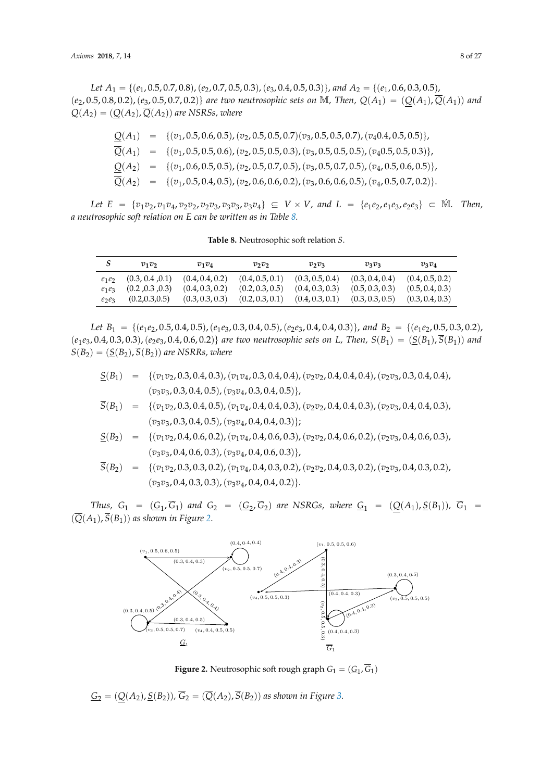*Let*  $A_1 = \{(e_1, 0.5, 0.7, 0.8), (e_2, 0.7, 0.5, 0.3), (e_3, 0.4, 0.5, 0.3)\}$ , and  $A_2 = \{(e_1, 0.6, 0.3, 0.5), (e_2, 0.7, 0.5, 0.3), (e_3, 0.4, 0.5, 0.3)\}$  $p(e_2, 0.5, 0.8, 0.2), (e_3, 0.5, 0.7, 0.2)$  are two neutrosophic sets on M, Then,  $Q(A_1) = (Q(A_1), \overline{Q}(A_1))$  and  $Q(A_2) = (Q(A_2), \overline{Q}(A_2))$  are NSRSs, where

|  | $Q(A_1) = \{(v_1, 0.5, 0.6, 0.5), (v_2, 0.5, 0.5, 0.7), (v_3, 0.5, 0.5, 0.7), (v_4, 0.4, 0.5, 0.5)\},\$            |
|--|--------------------------------------------------------------------------------------------------------------------|
|  | $\overline{Q}(A_1) = \{(v_1, 0.5, 0.5, 0.6), (v_2, 0.5, 0.5, 0.3), (v_3, 0.5, 0.5, 0.5), (v_4, 0.5, 0.5, 0.3)\},\$ |
|  | $Q(A_2) = \{(v_1, 0.6, 0.5, 0.5), (v_2, 0.5, 0.7, 0.5), (v_3, 0.5, 0.7, 0.5), (v_4, 0.5, 0.6, 0.5)\},\$            |
|  | $\overline{Q}(A_2) = \{(v_1, 0.5, 0.4, 0.5), (v_2, 0.6, 0.6, 0.2), (v_3, 0.6, 0.6, 0.5), (v_4, 0.5, 0.7, 0.2)\}.$  |

<span id="page-7-0"></span>Let  $E = \{v_1v_2, v_1v_4, v_2v_2, v_2v_3, v_3v_3, v_3v_4\} \subseteq V \times V$ , and  $L = \{e_1e_2, e_1e_3, e_2e_3\} \subset M$ . Then, *a neutrosophic soft relation on E can be written as in Table [8.](#page-7-0)*

|  | Table 8. Neutrosophic soft relation S. |
|--|----------------------------------------|
|--|----------------------------------------|

|          | $v_1v_2$        | $v_1v_4$        | $v_2v_2$        | $v_2v_3$        | $v_3v_3$        | $v_3v_4$        |
|----------|-----------------|-----------------|-----------------|-----------------|-----------------|-----------------|
| $e_1e_2$ | (0.3, 0.4, 0.1) | (0.4, 0.4, 0.2) | (0.4, 0.5, 0.1) | (0.3, 0.5, 0.4) | (0.3, 0.4, 0.4) | (0.4, 0.5, 0.2) |
| $e_1e_3$ | (0.2, 0.3, 0.3) | (0.4, 0.3, 0.2) | (0.2, 0.3, 0.5) | (0.4, 0.3, 0.3) | (0.5, 0.3, 0.3) | (0.5, 0.4, 0.3) |
| $e_2e_3$ | (0.2, 0.3, 0.5) | (0.3, 0.3, 0.3) | (0.2, 0.3, 0.1) | (0.4, 0.3, 0.1) | (0.3, 0.3, 0.5) | (0.3, 0.4, 0.3) |

*Let*  $B_1 = \{(e_1e_2, 0.5, 0.4, 0.5), (e_1e_3, 0.3, 0.4, 0.5), (e_2e_3, 0.4, 0.4, 0.3)\},$  and  $B_2 = \{(e_1e_2, 0.5, 0.3, 0.2), (e_2e_3, 0.4, 0.4, 0.3)\}$  $(e_1e_3, 0.4, 0.3, 0.3), (e_2e_3, 0.4, 0.6, 0.2)$  *are two neutrosophic sets on L*, *Then,*  $S(B_1) = (S(B_1), \overline{S}(B_1))$  *and*  $S(B_2) = (\underline{S}(B_2), \overline{S}(B_2))$  are NSRRs, where

- $S(B_1) = \{(v_1v_2, 0.3, 0.4, 0.3), (v_1v_4, 0.3, 0.4, 0.4), (v_2v_2, 0.4, 0.4, 0.4), (v_2v_3, 0.3, 0.4, 0.4),$  $(v_3v_3, 0.3, 0.4, 0.5), (v_3v_4, 0.3, 0.4, 0.5)\},$
- $\overline{S}(B_1) = \{(v_1v_2, 0.3, 0.4, 0.5), (v_1v_4, 0.4, 0.4, 0.3), (v_2v_2, 0.4, 0.4, 0.3), (v_2v_3, 0.4, 0.4, 0.3), (v_2v_4, 0.4, 0.4, 0.4, 0.3), (v_2v_3, 0.4, 0.4, 0.3), (v_2v_4, 0.4, 0.4, 0.4), (v_2v_4, 0.4, 0.4), (v_2v_4, 0.4, 0.4), (v_2v_$  $(v_3v_3, 0.3, 0.4, 0.5), (v_3v_4, 0.4, 0.4, 0.3)\};$

$$
\underline{S}(B_2) = \{ (v_1v_2, 0.4, 0.6, 0.2), (v_1v_4, 0.4, 0.6, 0.3), (v_2v_2, 0.4, 0.6, 0.2), (v_2v_3, 0.4, 0.6, 0.3), (v_3v_3, 0.4, 0.6, 0.3), (v_3v_4, 0.4, 0.6, 0.3) \}
$$

$$
\overline{S}(B_2) = \{ (v_1v_2, 0.3, 0.3, 0.2), (v_1v_4, 0.4, 0.3, 0.2), (v_2v_2, 0.4, 0.3, 0.2), (v_2v_3, 0.4, 0.3, 0.2), (v_3v_3, 0.4, 0.3, 0.3), (v_3v_4, 0.4, 0.4, 0.2) \}.
$$

<span id="page-7-1"></span>*Thus,*  $G_1 = (\underline{G}_1, G_1)$  and  $G_2 = (\underline{G}_2, G_2)$  are NSRGs, where  $\underline{G}_1 = (\underline{Q}(A_1), \underline{S}(B_1))$ ,  $G_1 =$  $(\overline{Q}(A_1), \overline{S}(B_1))$  as shown in Figure [2.](#page-7-1)



**Figure 2.** Neutrosophic soft rough graph  $G_1 = (\underline{G}_1, G_1)$ 

 $\underline{G}_2 = (\underline{Q}(A_2), \underline{S}(B_2)), \overline{G}_2 = (\overline{Q}(A_2), \overline{S}(B_2))$  as shown in Figure [3.](#page-8-0)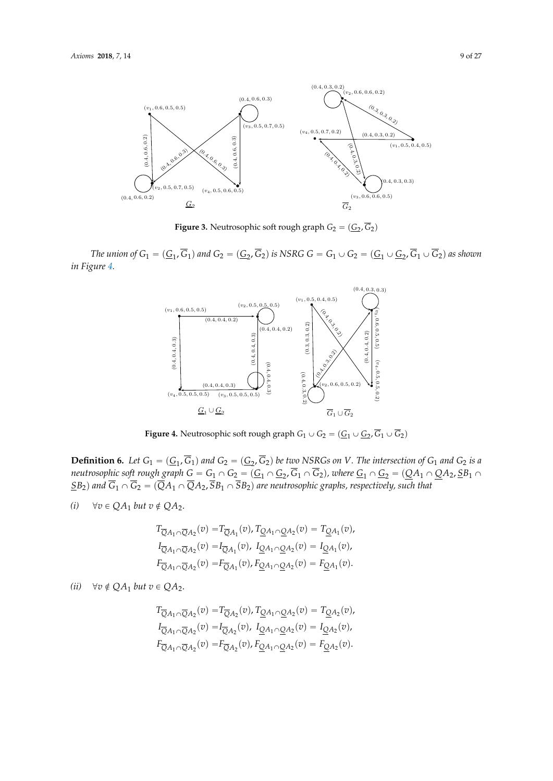<span id="page-8-0"></span>

**Figure 3.** Neutrosophic soft rough graph  $G_2 = (G_2, G_2)$ 

<span id="page-8-1"></span>The union of  $G_1 = (\underline{G}_1, \overline{G}_1)$  and  $G_2 = (\underline{G}_2, \overline{G}_2)$  is NSRG  $G = G_1 \cup G_2 = (\underline{G}_1 \cup \underline{G}_2, \overline{G}_1 \cup \overline{G}_2)$  as shown in Figure 4. *in Figure [4.](#page-8-1)* in Figure 4.



Figure 4. Neutrosophic soft rough graph  $G_1 \cup G_2 = (\underline{G}_1 \cup \underline{G}_2, \overline{G}_1 \cup \overline{G}_2)$ 

**Definition 6.** Let  $G_1 = (G_1, \overline{G}_1)$  and  $G_2 = (G_2, \overline{G}_2)$  be two NSRGs on V. The intersection of  $G_1$  and  $G_2$  is a Definition 6. Let  $G_1 = (\underline{G_1}, G_1)$  and  $G_2 = (\underline{G_2}, G_2)$  be two NSNCs on v. The intersection of  $G_1$  and  $G_2$  is a<br>neutrosophic soft rough graph  $G = G_1 \cap G_2 = (\underline{G_1} \cap \underline{G_2}, \overline{G_1} \cap \overline{G_2})$ , where  $\underline{G_1} \cap \underline{G_2}$  $\langle \underline{S}B_2\rangle$  and  $G_1 \cap G_2 = (QA_1 \cap QA_2, SB_1 \cap SB_2)$  are neutrosophic graphs, respectively, such that

*(i)*  $\forall v \in QA_1 \text{ but } v \notin QA_2.$ 

$$
T_{\overline{Q}A_1 \cap \overline{Q}A_2}(v) = T_{\overline{Q}A_1}(v), T_{\underline{Q}A_1 \cap \underline{Q}A_2}(v) = T_{\underline{Q}A_1}(v),
$$
  
\n
$$
I_{\overline{Q}A_1 \cap \overline{Q}A_2}(v) = I_{\overline{Q}A_1}(v), I_{\underline{Q}A_1 \cap \underline{Q}A_2}(v) = I_{\underline{Q}A_1}(v),
$$
  
\n
$$
F_{\overline{Q}A_1 \cap \overline{Q}A_2}(v) = F_{\overline{Q}A_1}(v), F_{\underline{Q}A_1 \cap \underline{Q}A_2}(v) = F_{\underline{Q}A_1}(v).
$$

### *(ii)*  $\forall v \notin QA_1$  *but*  $v \in QA_2$ .

$$
T_{\overline{Q}A_1 \cap \overline{Q}A_2}(v) = T_{\overline{Q}A_2}(v), T_{\underline{Q}A_1 \cap \underline{Q}A_2}(v) = T_{\underline{Q}A_2}(v),
$$
  
\n
$$
I_{\overline{Q}A_1 \cap \overline{Q}A_2}(v) = I_{\overline{Q}A_2}(v), I_{\underline{Q}A_1 \cap \underline{Q}A_2}(v) = I_{\underline{Q}A_2}(v),
$$
  
\n
$$
F_{\overline{Q}A_1 \cap \overline{Q}A_2}(v) = F_{\overline{Q}A_2}(v), F_{\underline{Q}A_1 \cap \underline{Q}A_2}(v) = F_{\underline{Q}A_2}(v).
$$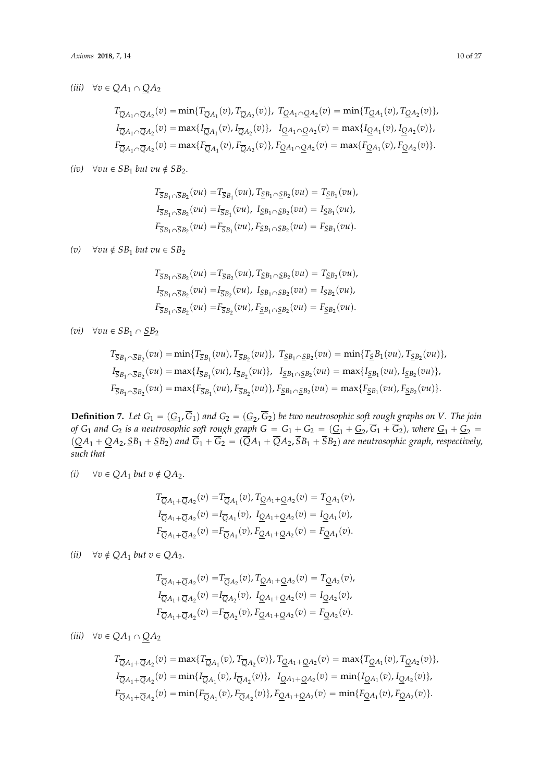$$
T_{\overline{Q}A_1 \cap \overline{Q}A_2}(v) = \min\{T_{\overline{Q}A_1}(v), T_{\overline{Q}A_2}(v)\}, T_{\underline{Q}A_1 \cap \underline{Q}A_2}(v) = \min\{T_{\underline{Q}A_1}(v), T_{\underline{Q}A_2}(v)\},
$$
  
\n
$$
I_{\overline{Q}A_1 \cap \overline{Q}A_2}(v) = \max\{I_{\overline{Q}A_1}(v), I_{\overline{Q}A_2}(v)\}, I_{\underline{Q}A_1 \cap \underline{Q}A_2}(v) = \max\{I_{\underline{Q}A_1}(v), I_{\underline{Q}A_2}(v)\},
$$
  
\n
$$
F_{\overline{Q}A_1 \cap \overline{Q}A_2}(v) = \max\{F_{\overline{Q}A_1}(v), F_{\overline{Q}A_2}(v)\}, F_{\underline{Q}A_1 \cap \underline{Q}A_2}(v) = \max\{F_{\underline{Q}A_1}(v), F_{\underline{Q}A_2}(v)\}.
$$

*(iv)*  $\forall vu \in SB_1$  *but vu*  $\notin SB_2$ .

$$
T_{\overline{S}B_1 \cap \overline{S}B_2}(vu) = T_{\overline{S}B_1}(vu), T_{\underline{S}B_1 \cap \underline{S}B_2}(vu) = T_{\underline{S}B_1}(vu),
$$
  
\n
$$
I_{\overline{S}B_1 \cap \overline{S}B_2}(vu) = I_{\overline{S}B_1}(vu), I_{\underline{S}B_1 \cap \underline{S}B_2}(vu) = I_{\underline{S}B_1}(vu),
$$
  
\n
$$
F_{\overline{S}B_1 \cap \overline{S}B_2}(vu) = F_{\overline{S}B_1}(vu), F_{\underline{S}B_1 \cap \underline{S}B_2}(vu) = F_{\underline{S}B_1}(vu).
$$

*(v)*  $\forall vu \notin SB_1$  *but vu*  $\in SB_2$ 

$$
T_{\overline{S}B_1 \cap \overline{S}B_2}(vu) = T_{\overline{S}B_2}(vu), T_{\underline{S}B_1 \cap \underline{S}B_2}(vu) = T_{\underline{S}B_2}(vu),
$$
  
\n
$$
I_{\overline{S}B_1 \cap \overline{S}B_2}(vu) = I_{\overline{S}B_2}(vu), I_{\underline{S}B_1 \cap \underline{S}B_2}(vu) = I_{\underline{S}B_2}(vu),
$$
  
\n
$$
F_{\overline{S}B_1 \cap \overline{S}B_2}(vu) = F_{\overline{S}B_2}(vu), F_{\underline{S}B_1 \cap \underline{S}B_2}(vu) = F_{\underline{S}B_2}(vu).
$$

*(vi)*  $\forall vu \in SB_1 \cap SB_2$ 

$$
T_{\overline{S}B_1 \cap \overline{S}B_2}(vu) = \min\{T_{\overline{S}B_1}(vu), T_{\overline{S}B_2}(vu)\}, T_{\underline{S}B_1 \cap \underline{S}B_2}(vu) = \min\{T_{\underline{S}}B_1(vu), T_{\underline{S}B_2}(vu)\},
$$
  
\n
$$
I_{\overline{S}B_1 \cap \overline{S}B_2}(vu) = \max\{I_{\overline{S}B_1}(vu), I_{\overline{S}B_2}(vu)\}, I_{\underline{S}B_1 \cap \underline{S}B_2}(vu) = \max\{I_{\underline{S}B_1}(vu), I_{\underline{S}B_2}(vu)\},
$$
  
\n
$$
F_{\overline{S}B_1 \cap \overline{S}B_2}(vu) = \max\{F_{\overline{S}B_1}(vu), F_{\overline{S}B_2}(vu)\}, F_{\underline{S}B_1 \cap \underline{S}B_2}(vu) = \max\{F_{\underline{S}B_1}(vu), F_{\underline{S}B_2}(vu)\}.
$$

**Definition 7.** Let  $G_1 = (\underline{G}_1, G_1)$  and  $G_2 = (\underline{G}_2, G_2)$  be two neutrosophic soft rough graphs on *V*. The join *of*  $G_1$  and  $G_2$  *is a neutrosophic soft rough graph*  $G = G_1 + G_2 = (\underline{G_1} + \underline{G_2}, G_1 + G_2)$ , where  $\underline{G_1} + \underline{G_2} =$  $\overline{Q}(A_1 + \overline{Q}A_2, \overline{S}B_1 + \overline{S}B_2)$  and  $G_1 + G_2 = (QA_1 + QA_2, SB_1 + SB_2)$  are neutrosophic graph, respectively, *such that*

*(i)*  $\forall v \in QA_1 \; but \; v \notin QA_2.$ 

$$
T_{\overline{Q}A_1 + \overline{Q}A_2}(v) = T_{\overline{Q}A_1}(v), T_{\underline{Q}A_1 + \underline{Q}A_2}(v) = T_{\underline{Q}A_1}(v),
$$
  
\n
$$
I_{\overline{Q}A_1 + \overline{Q}A_2}(v) = I_{\overline{Q}A_1}(v), I_{\underline{Q}A_1 + \underline{Q}A_2}(v) = I_{\underline{Q}A_1}(v),
$$
  
\n
$$
F_{\overline{Q}A_1 + \overline{Q}A_2}(v) = F_{\overline{Q}A_1}(v), F_{\underline{Q}A_1 + \underline{Q}A_2}(v) = F_{\underline{Q}A_1}(v).
$$

*(ii)*  $\forall v \notin QA_1$  *but*  $v \in QA_2$ .

$$
T_{\overline{Q}A_1 + \overline{Q}A_2}(v) = T_{\overline{Q}A_2}(v), T_{\underline{Q}A_1 + \underline{Q}A_2}(v) = T_{\underline{Q}A_2}(v),
$$
  
\n
$$
I_{\overline{Q}A_1 + \overline{Q}A_2}(v) = I_{\overline{Q}A_2}(v), I_{\underline{Q}A_1 + \underline{Q}A_2}(v) = I_{\underline{Q}A_2}(v),
$$
  
\n
$$
F_{\overline{Q}A_1 + \overline{Q}A_2}(v) = F_{\overline{Q}A_2}(v), F_{\underline{Q}A_1 + \underline{Q}A_2}(v) = F_{\underline{Q}A_2}(v).
$$

*(iii)*  $\forall v \in QA_1 \cap QA_2$ 

$$
T_{\overline{Q}A_1+\overline{Q}A_2}(v) = \max\{T_{\overline{Q}A_1}(v), T_{\overline{Q}A_2}(v)\}, T_{\underline{Q}A_1+\underline{Q}A_2}(v) = \max\{T_{\underline{Q}A_1}(v), T_{\underline{Q}A_2}(v)\},
$$
  
\n
$$
I_{\overline{Q}A_1+\overline{Q}A_2}(v) = \min\{I_{\overline{Q}A_1}(v), I_{\overline{Q}A_2}(v)\}, I_{\underline{Q}A_1+\underline{Q}A_2}(v) = \min\{I_{\underline{Q}A_1}(v), I_{\underline{Q}A_2}(v)\},
$$
  
\n
$$
F_{\overline{Q}A_1+\overline{Q}A_2}(v) = \min\{F_{\overline{Q}A_1}(v), F_{\overline{Q}A_2}(v)\}, F_{\underline{Q}A_1+\underline{Q}A_2}(v) = \min\{F_{\underline{Q}A_1}(v), F_{\underline{Q}A_2}(v)\}.
$$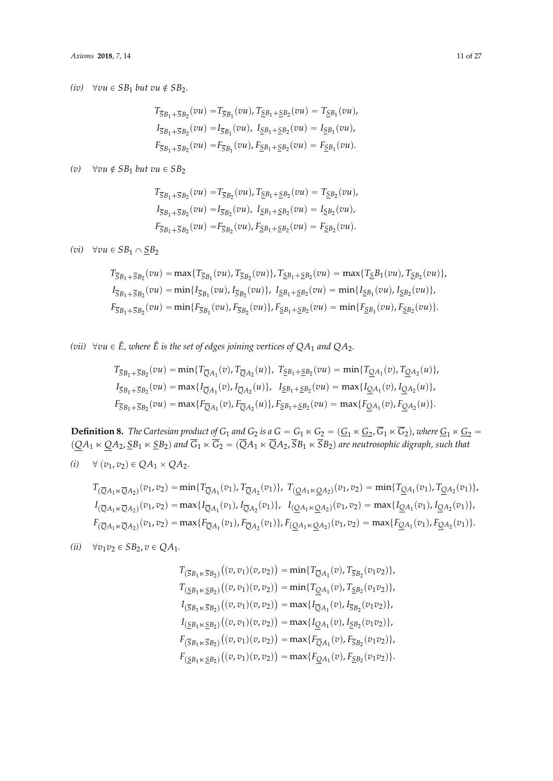*(iv)*  $\forall vu \in SB_1$  *but vu*  $\notin SB_2$ .

$$
T_{\overline{S}B_1 + \overline{S}B_2}(vu) = T_{\overline{S}B_1}(vu), T_{\underline{S}B_1 + \underline{S}B_2}(vu) = T_{\underline{S}B_1}(vu),
$$
  
\n
$$
I_{\overline{S}B_1 + \overline{S}B_2}(vu) = I_{\overline{S}B_1}(vu), I_{\underline{S}B_1 + \underline{S}B_2}(vu) = I_{\underline{S}B_1}(vu),
$$
  
\n
$$
F_{\overline{S}B_1 + \overline{S}B_2}(vu) = F_{\overline{S}B_1}(vu), F_{\underline{S}B_1 + \underline{S}B_2}(vu) = F_{\underline{S}B_1}(vu).
$$

*(v)*  $\forall vu \notin SB_1$  *but vu*  $\in SB_2$ 

$$
T_{\overline{S}B_1 + \overline{S}B_2}(vu) = T_{\overline{S}B_2}(vu), T_{\underline{S}B_1 + \underline{S}B_2}(vu) = T_{\underline{S}B_2}(vu),
$$
  
\n
$$
I_{\overline{S}B_1 + \overline{S}B_2}(vu) = I_{\overline{S}B_2}(vu), I_{\underline{S}B_1 + \underline{S}B_2}(vu) = I_{\underline{S}B_2}(vu),
$$
  
\n
$$
F_{\overline{S}B_1 + \overline{S}B_2}(vu) = F_{\overline{S}B_2}(vu), F_{\underline{S}B_1 + \underline{S}B_2}(vu) = F_{\underline{S}B_2}(vu).
$$

*(vi)*  $\forall vu \in SB_1 \cap \underline{SB}_2$ 

$$
T_{\overline{S}B_1 + \overline{S}B_2}(vu) = \max\{T_{\overline{S}B_1}(vu), T_{\overline{S}B_2}(vu)\}, T_{\underline{S}B_1 + \underline{S}B_2}(vu) = \max\{T_{\underline{S}}B_1(vu), T_{\underline{S}B_2}(vu)\},
$$
  
\n
$$
I_{\overline{S}B_1 + \overline{S}B_2}(vu) = \min\{I_{\overline{S}B_1}(vu), I_{\overline{S}B_2}(vu)\}, I_{\underline{S}B_1 + \underline{S}B_2}(vu) = \min\{I_{\underline{S}B_1}(vu), I_{\underline{S}B_2}(vu)\},
$$
  
\n
$$
F_{\overline{S}B_1 + \overline{S}B_2}(vu) = \min\{F_{\overline{S}B_1}(vu), F_{\overline{S}B_2}(vu)\}, F_{\underline{S}B_1 + \underline{S}B_2}(vu) = \min\{F_{\underline{S}B_1}(vu), F_{\underline{S}B_2}(vu)\}.
$$

(vii)  $\forall vu \in \tilde{E}$ , where  $\tilde{E}$  is the set of edges joining vertices of  $QA_1$  and  $QA_2$ .

$$
T_{\overline{S}B_1 + \overline{S}B_2}(vu) = \min\{T_{\overline{Q}A_1}(v), T_{\overline{Q}A_2}(u)\}, T_{\underline{S}B_1 + \underline{S}B_2}(vu) = \min\{T_{\underline{Q}A_1}(v), T_{\underline{Q}A_2}(u)\},
$$
  
\n
$$
I_{\overline{S}B_1 + \overline{S}B_2}(vu) = \max\{I_{\overline{Q}A_1}(v), I_{\overline{Q}A_2}(u)\}, T_{\underline{S}B_1 + \underline{S}B_2}(vu) = \max\{I_{\underline{Q}A_1}(v), I_{\underline{Q}A_2}(u)\},
$$
  
\n
$$
F_{\overline{S}B_1 + \overline{S}B_2}(vu) = \max\{F_{\overline{Q}A_1}(v), F_{\overline{Q}A_2}(u)\}, F_{\underline{S}B_1 + \underline{S}B_2}(vu) = \max\{F_{\underline{Q}A_1}(v), F_{\underline{Q}A_2}(u)\}.
$$

**Definition 8.** The Cartesian product of  $G_1$  and  $G_2$  is a  $G = G_1 \ltimes G_2 = (\underline{G_1} \ltimes \underline{G_2}, G_1 \ltimes G_2)$ , where  $\underline{G_1} \ltimes \underline{G_2} =$  $p_p(QA_1 \ltimes QA_2, SB_1 \ltimes SB_2)$  and  $G_1 \ltimes G_2 = (QA_1 \ltimes QA_2, SB_1 \ltimes SB_2)$  are neutrosophic digraph, such that

 $(i)$   $\forall$   $(v_1, v_2) \in QA_1 \times QA_2$ .

$$
T_{(\overline{Q}A_1 \ltimes \overline{Q}A_2)}(v_1, v_2) = \min\{T_{\overline{Q}A_1}(v_1), T_{\overline{Q}A_2}(v_1)\}, T_{(\underline{Q}A_1 \ltimes \underline{Q}A_2)}(v_1, v_2) = \min\{T_{\underline{Q}A_1}(v_1), T_{\underline{Q}A_2}(v_1)\},
$$
  
\n
$$
I_{(\overline{Q}A_1 \ltimes \overline{Q}A_2)}(v_1, v_2) = \max\{I_{\overline{Q}A_1}(v_1), I_{\overline{Q}A_2}(v_1)\}, I_{(\underline{Q}A_1 \ltimes \underline{Q}A_2)}(v_1, v_2) = \max\{I_{\underline{Q}A_1}(v_1), I_{\underline{Q}A_2}(v_1)\},
$$
  
\n
$$
F_{(\overline{Q}A_1 \ltimes \overline{Q}A_2)}(v_1, v_2) = \max\{F_{\overline{Q}A_1}(v_1), F_{\overline{Q}A_2}(v_1)\}, F_{(\underline{Q}A_1 \ltimes \underline{Q}A_2)}(v_1, v_2) = \max\{F_{\underline{Q}A_1}(v_1), F_{\underline{Q}A_2}(v_1)\}.
$$

 $\langle ii \rangle \quad \forall v_1 v_2 \in SB_2, v \in QA_1.$ 

$$
T_{(\overline{S}B_1 \ltimes \overline{S}B_2)}((v, v_1)(v, v_2)) = \min\{T_{\overline{Q}A_1}(v), T_{\overline{S}B_2}(v_1v_2)\},
$$
  
\n
$$
T_{(\underline{S}B_1 \ltimes \underline{S}B_2)}((v, v_1)(v, v_2)) = \min\{T_{\underline{Q}A_1}(v), T_{\underline{S}B_2}(v_1v_2)\},
$$
  
\n
$$
I_{(\overline{S}B_1 \ltimes \overline{S}B_2)}((v, v_1)(v, v_2)) = \max\{I_{\overline{Q}A_1}(v), I_{\overline{S}B_2}(v_1v_2)\},
$$
  
\n
$$
I_{(\underline{S}B_1 \ltimes \underline{S}B_2)}((v, v_1)(v, v_2)) = \max\{I_{\underline{Q}A_1}(v), I_{\underline{S}B_2}(v_1v_2)\},
$$
  
\n
$$
F_{(\overline{S}B_1 \ltimes \overline{S}B_2)}((v, v_1)(v, v_2)) = \max\{F_{\overline{Q}A_1}(v), F_{\overline{S}B_2}(v_1v_2)\},
$$
  
\n
$$
F_{(\underline{S}B_1 \ltimes \underline{S}B_2)}((v, v_1)(v, v_2)) = \max\{F_{\underline{Q}A_1}(v), F_{\underline{S}B_2}(v_1v_2)\}.
$$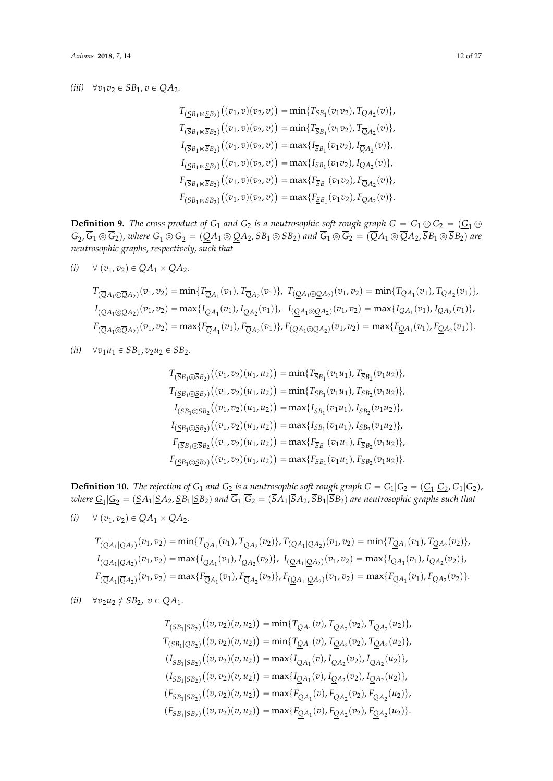### $\langle iii\rangle\quad\forall v_1v_2\in SB_1, v\in QA_2.$

$$
T_{(\underline{S}B_1 \ltimes \underline{S}B_2)}((v_1, v)(v_2, v)) = \min\{T_{\underline{S}B_1}(v_1v_2), T_{\underline{Q}A_2}(v)\},
$$
  
\n
$$
T_{(\overline{S}B_1 \ltimes \overline{S}B_2)}((v_1, v)(v_2, v)) = \min\{T_{\overline{S}B_1}(v_1v_2), T_{\overline{Q}A_2}(v)\},
$$
  
\n
$$
I_{(\overline{S}B_1 \ltimes \overline{S}B_2)}((v_1, v)(v_2, v)) = \max\{I_{\overline{S}B_1}(v_1v_2), I_{\overline{Q}A_2}(v)\},
$$
  
\n
$$
I_{(\underline{S}B_1 \ltimes \underline{S}B_2)}((v_1, v)(v_2, v)) = \max\{I_{\underline{S}B_1}(v_1v_2), I_{\underline{Q}A_2}(v)\},
$$
  
\n
$$
F_{(\overline{S}B_1 \ltimes \overline{S}B_2)}((v_1, v)(v_2, v)) = \max\{F_{\overline{S}B_1}(v_1v_2), F_{\overline{Q}A_2}(v)\},
$$
  
\n
$$
F_{(\underline{S}B_1 \ltimes \underline{S}B_2)}((v_1, v)(v_2, v)) = \max\{F_{\underline{S}B_1}(v_1v_2), F_{\underline{Q}A_2}(v)\}.
$$

**Definition 9.** The cross product of  $G_1$  and  $G_2$  is a neutrosophic soft rough graph  $G = G_1 \odot G_2 = (\underline{G_1} \odot G_1)$  $G_2$ ,  $G_1 \odot G_2$ ), where  $G_1 \odot G_2 = (\underline{Q}A_1 \odot \underline{Q}A_2$ ,  $\underline{S}B_1 \odot \underline{S}B_2)$  and  $G_1 \odot G_2 = (QA_1 \odot QA_2, SB_1 \odot SB_2)$  are *neutrosophic graphs, respectively, such that*

$$
(i) \quad \forall (v_1, v_2) \in QA_1 \times QA_2.
$$

$$
T_{(\overline{Q}A_1 \odot \overline{Q}A_2)}(v_1, v_2) = \min\{T_{\overline{Q}A_1}(v_1), T_{\overline{Q}A_2}(v_1)\}, T_{(\underline{Q}A_1 \odot \underline{Q}A_2)}(v_1, v_2) = \min\{T_{\underline{Q}A_1}(v_1), T_{\underline{Q}A_2}(v_1)\},
$$
  
\n
$$
I_{(\overline{Q}A_1 \odot \overline{Q}A_2)}(v_1, v_2) = \max\{I_{\overline{Q}A_1}(v_1), I_{\overline{Q}A_2}(v_1)\}, I_{(\underline{Q}A_1 \odot \underline{Q}A_2)}(v_1, v_2) = \max\{I_{\underline{Q}A_1}(v_1), I_{\underline{Q}A_2}(v_1)\},
$$
  
\n
$$
F_{(\overline{Q}A_1 \odot \overline{Q}A_2)}(v_1, v_2) = \max\{F_{\overline{Q}A_1}(v_1), F_{\overline{Q}A_2}(v_1)\}, F_{(\underline{Q}A_1 \odot \underline{Q}A_2)}(v_1, v_2) = \max\{F_{\underline{Q}A_1}(v_1), F_{\underline{Q}A_2}(v_1)\}.
$$

*(ii)*  $\forall v_1 u_1 \in SB_1, v_2 u_2 \in SB_2.$ 

$$
T_{(\overline{S}B_1 \odot \overline{S}B_2)}((v_1, v_2)(u_1, u_2)) = \min\{T_{\overline{S}B_1}(v_1u_1), T_{\overline{S}B_2}(v_1u_2)\},
$$
  
\n
$$
T_{(\underline{S}B_1 \odot \underline{S}B_2)}((v_1, v_2)(u_1, u_2)) = \min\{T_{\underline{S}B_1}(v_1u_1), T_{\underline{S}B_2}(v_1u_2)\},
$$
  
\n
$$
I_{(\overline{S}B_1 \odot \overline{S}B_2)}((v_1, v_2)(u_1, u_2)) = \max\{I_{\overline{S}B_1}(v_1u_1), I_{\overline{S}B_2}(v_1u_2)\},
$$
  
\n
$$
I_{(\underline{S}B_1 \odot \underline{S}B_2)}((v_1, v_2)(u_1, u_2)) = \max\{I_{\underline{S}B_1}(v_1u_1), I_{\underline{S}B_2}(v_1u_2)\},
$$
  
\n
$$
F_{(\overline{S}B_1 \odot \overline{S}B_2)}((v_1, v_2)(u_1, u_2)) = \max\{F_{\overline{S}B_1}(v_1u_1), F_{\overline{S}B_2}(v_1u_2)\},
$$
  
\n
$$
F_{(\underline{S}B_1 \odot \underline{S}B_2)}((v_1, v_2)(u_1, u_2)) = \max\{F_{\underline{S}B_1}(v_1u_1), F_{\underline{S}B_2}(v_1u_2)\}.
$$

**Definition 10.** The rejection of  $G_1$  and  $G_2$  is a neutrosophic soft rough graph  $G = G_1|G_2 = (\underline{G_1}|G_2, G_1|G_2)$ ,  $w$ here  $\underline{G_1}|\underline{G_2}=(\underline{S}A_1|\underline{S}A_2,\underline{S}B_1|\underline{S}B_2)$  and  $G_1|G_2=(SA_1|SA_2,SB_1|SB_2)$  are neutrosophic graphs such that

$$
(i) \quad \forall (v_1, v_2) \in QA_1 \times QA_2.
$$

$$
T_{(\overline{Q}A_1|\overline{Q}A_2)}(v_1, v_2) = \min\{T_{\overline{Q}A_1}(v_1), T_{\overline{Q}A_2}(v_2)\}, T_{(\underline{Q}A_1|\underline{Q}A_2)}(v_1, v_2) = \min\{T_{\underline{Q}A_1}(v_1), T_{\underline{Q}A_2}(v_2)\},
$$
  
\n
$$
I_{(\overline{Q}A_1|\overline{Q}A_2)}(v_1, v_2) = \max\{I_{\overline{Q}A_1}(v_1), I_{\overline{Q}A_2}(v_2)\}, I_{(\underline{Q}A_1|\underline{Q}A_2)}(v_1, v_2) = \max\{I_{\underline{Q}A_1}(v_1), I_{\underline{Q}A_2}(v_2)\},
$$
  
\n
$$
F_{(\overline{Q}A_1|\overline{Q}A_2)}(v_1, v_2) = \max\{F_{\overline{Q}A_1}(v_1), F_{\overline{Q}A_2}(v_2)\}, F_{(\underline{Q}A_1|\underline{Q}A_2)}(v_1, v_2) = \max\{F_{\underline{Q}A_1}(v_1), F_{\underline{Q}A_2}(v_2)\}.
$$

$$
(ii) \quad \forall v_2 u_2 \notin SB_2, \ v \in QA_1.
$$

$$
T_{(\overline{S}B_1|\overline{S}B_2)}((v, v_2)(v, u_2)) = \min\{T_{\overline{Q}A_1}(v), T_{\overline{Q}A_2}(v_2), T_{\overline{Q}A_2}(u_2)\},
$$
  
\n
$$
T_{(\underline{S}B_1|\underline{Q}B_2)}((v, v_2)(v, u_2)) = \min\{T_{\underline{Q}A_1}(v), T_{\underline{Q}A_2}(v_2), T_{\underline{Q}A_2}(u_2)\},
$$
  
\n
$$
(I_{\overline{S}B_1|\overline{S}B_2)}((v, v_2)(v, u_2)) = \max\{I_{\overline{Q}A_1}(v), I_{\overline{Q}A_2}(v_2), I_{\overline{Q}A_2}(u_2)\},
$$
  
\n
$$
(I_{\underline{S}B_1|\underline{S}B_2)}((v, v_2)(v, u_2)) = \max\{I_{\underline{Q}A_1}(v), I_{\underline{Q}A_2}(v_2), I_{\underline{Q}A_2}(u_2)\},
$$
  
\n
$$
(F_{\overline{S}B_1|\overline{S}B_2)}((v, v_2)(v, u_2)) = \max\{F_{\overline{Q}A_1}(v), F_{\overline{Q}A_2}(v_2), F_{\overline{Q}A_2}(u_2)\},
$$
  
\n
$$
(F_{\underline{S}B_1|\underline{S}B_2)}((v, v_2)(v, u_2)) = \max\{F_{\underline{Q}A_1}(v), F_{\underline{Q}A_2}(v_2), F_{\underline{Q}A_2}(u_2)\}.
$$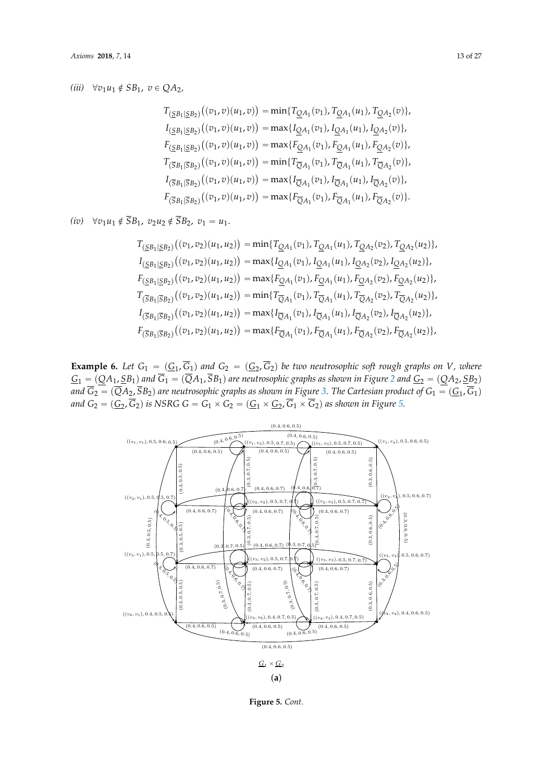# $(iii) \quad \forall v_1u_1\notin SB_1, \ v\in QA_2,$

$$
T_{(\underline{S}B_1|\underline{S}B_2)}((v_1,v)(u_1,v)) = \min\{T_{\underline{Q}A_1}(v_1), T_{\underline{Q}A_1}(u_1), T_{\underline{Q}A_2}(v)\},
$$
  
\n
$$
I_{(\underline{S}B_1|\underline{S}B_2)}((v_1,v)(u_1,v)) = \max\{I_{\underline{Q}A_1}(v_1), I_{\underline{Q}A_1}(u_1), I_{\underline{Q}A_2}(v)\},
$$
  
\n
$$
F_{(\underline{S}B_1|\underline{S}B_2)}((v_1,v)(u_1,v)) = \max\{F_{\underline{Q}A_1}(v_1), F_{\underline{Q}A_1}(u_1), F_{\underline{Q}A_2}(v)\},
$$
  
\n
$$
T_{(\overline{S}B_1|\overline{S}B_2)}((v_1,v)(u_1,v)) = \min\{T_{\overline{Q}A_1}(v_1), T_{\overline{Q}A_1}(u_1), T_{\overline{Q}A_2}(v)\},
$$
  
\n
$$
I_{(\overline{S}B_1|\overline{S}B_2)}((v_1,v)(u_1,v)) = \max\{I_{\overline{Q}A_1}(v_1), I_{\overline{Q}A_1}(u_1), I_{\overline{Q}A_2}(v)\},
$$
  
\n
$$
F_{(\overline{S}B_1|\overline{S}B_2)}((v_1,v)(u_1,v)) = \max\{F_{\overline{Q}A_1}(v_1), F_{\overline{Q}A_1}(u_1), F_{\overline{Q}A_2}(v)\}.
$$

*(iv)*  $\forall v_1 u_1 \notin \overline{S}B_1$ ,  $v_2 u_2 \notin \overline{S}B_2$ ,  $v_1 = u_1$ .

$$
T_{(\underline{S}B_1|\underline{S}B_2)}((v_1, v_2)(u_1, u_2)) = \min\{T_{\underline{Q}A_1}(v_1), T_{\underline{Q}A_1}(u_1), T_{\underline{Q}A_2}(v_2), T_{\underline{Q}A_2}(u_2)\},
$$
  
\n
$$
I_{(\underline{S}B_1|\underline{S}B_2)}((v_1, v_2)(u_1, u_2)) = \max\{I_{\underline{Q}A_1}(v_1), I_{\underline{Q}A_1}(u_1), I_{\underline{Q}A_2}(v_2), I_{\underline{Q}A_2}(u_2)\},
$$
  
\n
$$
F_{(\underline{S}B_1|\underline{S}B_2)}((v_1, v_2)(u_1, u_2)) = \max\{F_{\underline{Q}A_1}(v_1), F_{\underline{Q}A_1}(u_1), F_{\underline{Q}A_2}(v_2), F_{\underline{Q}A_2}(u_2)\},
$$
  
\n
$$
T_{(\overline{S}B_1|\overline{S}B_2)}((v_1, v_2)(u_1, u_2)) = \min\{T_{\overline{Q}A_1}(v_1), T_{\overline{Q}A_1}(u_1), T_{\overline{Q}A_2}(v_2), T_{\overline{Q}A_2}(u_2)\},
$$
  
\n
$$
I_{(\overline{S}B_1|\overline{S}B_2)}((v_1, v_2)(u_1, u_2)) = \max\{I_{\overline{Q}A_1}(v_1), I_{\overline{Q}A_1}(u_1), I_{\overline{Q}A_2}(v_2), I_{\overline{Q}A_2}(u_2)\},
$$
  
\n
$$
F_{(\overline{S}B_1|\overline{S}B_2)}((v_1, v_2)(u_1, u_2)) = \max\{F_{\overline{Q}A_1}(v_1), F_{\overline{Q}A_1}(u_1), F_{\overline{Q}A_2}(v_2), F_{\overline{Q}A_2}(u_2)\},
$$

**Example 6.** Let  $G_1 = (G_1, G_1)$  and  $G_2 = (G_2, G_2)$  be two neutrosophic soft rough graphs on *V*, where  $G_1 = (QA_1, \underline{SB}_1)$  and  $\overline{G}_1 = (\overline{Q}A_1, \overline{SB}_1)$  are neutrosophic graphs as shown in Figure [2](#page-7-1) and  $G_2 = (QA_2, \underline{SB}_2)$ *and*  $G_2 = (QA_2, SB_2)$  are neutrosophic graphs as shown in Figure [3.](#page-8-0) The Cartesian product of  $G_1 = (\underline{G}_1, G_1)$ and  $G_2 = (\underline{G}_2, G_2)$  is NSRG  $G = G_1 \times G_2 = (\underline{G}_1 \times \underline{G}_2, G_1 \times G_2)$  as shown in Figure [5.](#page-13-0)



**Figure 5.** *Cont.*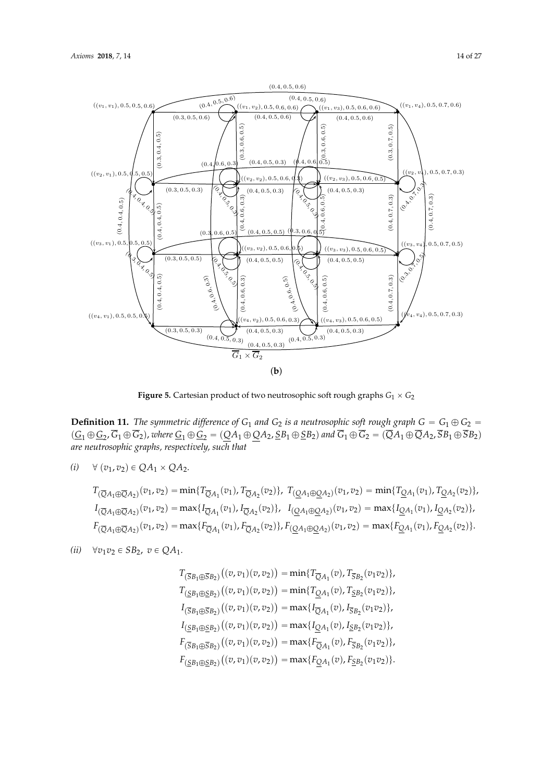

<span id="page-13-0"></span>

 $\mathcal{L}$  . The symmetric difference of G1 and G2 is a neutrosophic soft rough graph  $\mathcal{L}$ **Figure 5.** Cartesian product of two neutrosophic soft rough graphs  $G_1 \times G_2$ 

Definition 11 Flux cummatric difference of  $C$  and  $C$  is a neutroscaplic soft rough graph  $C = C \oplus C =$ **Definition 11.** The symmetric difference of G<sub>1</sub> and G<sub>2</sub> is a neutrosophic soft rough graph  $G = G_1 \oplus G_2 =$ <br>(C,  $\oplus$ C,  $\oplus$ C,  $\oplus$ C,  $\oplus$  xphere C,  $\oplus$ C,  $=$  (OA,  $\oplus$ OA,  $\otimes$ R,  $\oplus$ SR,  $\oplus$  and  $\overline{G}$ ,  $\oplus$ (i) ∀ (v1, v2) ∈ QA<sup>1</sup> × QA2. *are neutrosophic graphs, respectively, such that*  $(\underline{G}_1 \oplus \underline{G}_2, G_1 \oplus G_2)$ , where  $\underline{G}_1 \oplus \underline{G}_2 = (\underline{Q}A_1 \oplus \underline{Q}A_2, \underline{S}B_1 \oplus \underline{S}B_2)$  and  $G_1 \oplus G_2 = (QA_1 \oplus QA_2, SB_1 \oplus SB_2)$ 

$$
(i) \quad \forall (v_1, v_2) \in QA_1 \times QA_2.
$$

$$
T_{(\overline{Q}A_1 \oplus \overline{Q}A_2)}(v_1, v_2) = \min\{T_{\overline{Q}A_1}(v_1), T_{\overline{Q}A_2}(v_2)\}, T_{(\underline{Q}A_1 \oplus \underline{Q}A_2)}(v_1, v_2) = \min\{T_{\underline{Q}A_1}(v_1), T_{\underline{Q}A_2}(v_2)\},
$$
  
\n
$$
I_{(\overline{Q}A_1 \oplus \overline{Q}A_2)}(v_1, v_2) = \max\{I_{\overline{Q}A_1}(v_1), I_{\overline{Q}A_2}(v_2)\}, \quad I_{(\underline{Q}A_1 \oplus \underline{Q}A_2)}(v_1, v_2) = \max\{I_{\underline{Q}A_1}(v_1), I_{\underline{Q}A_2}(v_2)\},
$$
  
\n
$$
F_{(\overline{Q}A_1 \oplus \overline{Q}A_2)}(v_1, v_2) = \max\{F_{\overline{Q}A_1}(v_1), F_{\overline{Q}A_2}(v_2)\}, F_{(\underline{Q}A_1 \oplus \underline{Q}A_2)}(v_1, v_2) = \max\{F_{\underline{Q}A_1}(v_1), F_{\underline{Q}A_2}(v_2)\}.
$$

$$
(ii) \quad \forall v_1 v_2 \in SB_2, \ v \in QA_1.
$$

$$
T_{(\overline{S}B_1 \oplus \overline{S}B_2)}((v, v_1)(v, v_2)) = \min\{T_{\overline{Q}A_1}(v), T_{\overline{S}B_2}(v_1v_2)\},
$$
  
\n
$$
T_{(\underline{S}B_1 \oplus \underline{S}B_2)}((v, v_1)(v, v_2)) = \min\{T_{\underline{Q}A_1}(v), T_{\underline{S}B_2}(v_1v_2)\},
$$
  
\n
$$
I_{(\overline{S}B_1 \oplus \overline{S}B_2)}((v, v_1)(v, v_2)) = \max\{I_{\overline{Q}A_1}(v), I_{\overline{S}B_2}(v_1v_2)\},
$$
  
\n
$$
I_{(\underline{S}B_1 \oplus \underline{S}B_2)}((v, v_1)(v, v_2)) = \max\{I_{\underline{Q}A_1}(v), I_{\underline{S}B_2}(v_1v_2)\},
$$
  
\n
$$
F_{(\overline{S}B_1 \oplus \overline{S}B_2)}((v, v_1)(v, v_2)) = \max\{F_{\overline{Q}A_1}(v), F_{\overline{S}B_2}(v_1v_2)\},
$$
  
\n
$$
F_{(\underline{S}B_1 \oplus \underline{S}B_2)}((v, v_1)(v, v_2)) = \max\{F_{\underline{Q}A_1}(v), F_{\underline{S}B_2}(v_1v_2)\}.
$$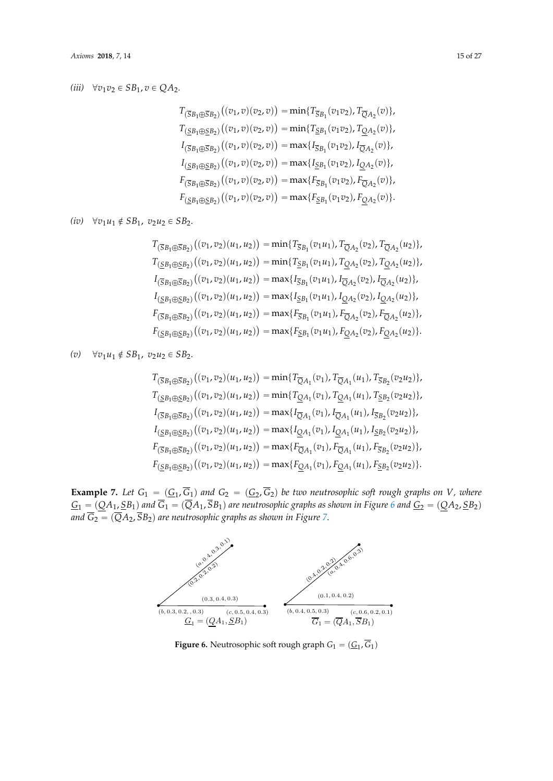### *(iii)*  $\forall v_1 v_2 \in SB_1, v \in QA_2.$

$$
T_{(\overline{S}B_1 \oplus \overline{S}B_2)}((v_1, v)(v_2, v)) = \min\{T_{\overline{S}B_1}(v_1v_2), T_{\overline{Q}A_2}(v)\},
$$
  
\n
$$
T_{(\underline{S}B_1 \oplus \underline{S}B_2)}((v_1, v)(v_2, v)) = \min\{T_{\underline{S}B_1}(v_1v_2), T_{\underline{Q}A_2}(v)\},
$$
  
\n
$$
I_{(\overline{S}B_1 \oplus \overline{S}B_2)}((v_1, v)(v_2, v)) = \max\{I_{\overline{S}B_1}(v_1v_2), I_{\overline{Q}A_2}(v)\},
$$
  
\n
$$
I_{(\underline{S}B_1 \oplus \underline{S}B_2)}((v_1, v)(v_2, v)) = \max\{I_{\underline{S}B_1}(v_1v_2), I_{\underline{Q}A_2}(v)\},
$$
  
\n
$$
F_{(\overline{S}B_1 \oplus \overline{S}B_2)}((v_1, v)(v_2, v)) = \max\{F_{\overline{S}B_1}(v_1v_2), F_{\overline{Q}A_2}(v)\},
$$
  
\n
$$
F_{(\underline{S}B_1 \oplus \underline{S}B_2)}((v_1, v)(v_2, v)) = \max\{F_{\underline{S}B_1}(v_1v_2), F_{\underline{Q}A_2}(v)\}.
$$

 $(iv)$   $∀v_1u_1 \notin SB_1$ ,  $v_2u_2 \in SB_2$ .

$$
T_{(\overline{S}B_1 \oplus \overline{S}B_2)}((v_1, v_2)(u_1, u_2)) = \min\{T_{\overline{S}B_1}(v_1u_1), T_{\overline{Q}A_2}(v_2), T_{\overline{Q}A_2}(u_2)\},
$$
  
\n
$$
T_{(\underline{S}B_1 \oplus \underline{S}B_2)}((v_1, v_2)(u_1, u_2)) = \min\{T_{\underline{S}B_1}(v_1u_1), T_{\underline{Q}A_2}(v_2), T_{\underline{Q}A_2}(u_2)\},
$$
  
\n
$$
I_{(\overline{S}B_1 \oplus \overline{S}B_2)}((v_1, v_2)(u_1, u_2)) = \max\{I_{\overline{S}B_1}(v_1u_1), I_{\overline{Q}A_2}(v_2), I_{\overline{Q}A_2}(u_2)\},
$$
  
\n
$$
I_{(\underline{S}B_1 \oplus \underline{S}B_2)}((v_1, v_2)(u_1, u_2)) = \max\{I_{\underline{S}B_1}(v_1u_1), I_{\underline{Q}A_2}(v_2), I_{\underline{Q}A_2}(u_2)\},
$$
  
\n
$$
F_{(\overline{S}B_1 \oplus \overline{S}B_2)}((v_1, v_2)(u_1, u_2)) = \max\{F_{\overline{S}B_1}(v_1u_1), F_{\overline{Q}A_2}(v_2), F_{\overline{Q}A_2}(u_2)\},
$$
  
\n
$$
F_{(\underline{S}B_1 \oplus \underline{S}B_2)}((v_1, v_2)(u_1, u_2)) = \max\{F_{\underline{S}B_1}(v_1u_1), F_{\underline{Q}A_2}(v_2), F_{\underline{Q}A_2}(u_2)\}.
$$

 $(v)$   $\forall v_1u_1 \notin SB_1$ ,  $v_2u_2 \in SB_2$ .

$$
T_{(\overline{S}B_1 \oplus \overline{S}B_2)}((v_1, v_2)(u_1, u_2)) = \min\{T_{\overline{Q}A_1}(v_1), T_{\overline{Q}A_1}(u_1), T_{\overline{S}B_2}(v_2u_2)\},
$$
  
\n
$$
T_{(\underline{S}B_1 \oplus \underline{S}B_2)}((v_1, v_2)(u_1, u_2)) = \min\{T_{\underline{Q}A_1}(v_1), T_{\underline{Q}A_1}(u_1), T_{\underline{S}B_2}(v_2u_2)\},
$$
  
\n
$$
I_{(\overline{S}B_1 \oplus \overline{S}B_2)}((v_1, v_2)(u_1, u_2)) = \max\{I_{\overline{Q}A_1}(v_1), I_{\overline{Q}A_1}(u_1), I_{\overline{S}B_2}(v_2u_2)\},
$$
  
\n
$$
I_{(\underline{S}B_1 \oplus \underline{S}B_2)}((v_1, v_2)(u_1, u_2)) = \max\{I_{\underline{Q}A_1}(v_1), I_{\underline{Q}A_1}(u_1), I_{\overline{S}B_2}(v_2u_2)\},
$$
  
\n
$$
F_{(\overline{S}B_1 \oplus \overline{S}B_2)}((v_1, v_2)(u_1, u_2)) = \max\{F_{\overline{Q}A_1}(v_1), F_{\overline{Q}A_1}(u_1), F_{\overline{S}B_2}(v_2u_2)\},
$$
  
\n
$$
F_{(\underline{S}B_1 \oplus \underline{S}B_2)}((v_1, v_2)(u_1, u_2)) = \max\{F_{\underline{Q}A_1}(v_1), F_{\underline{Q}A_1}(u_1), F_{\underline{S}B_2}(v_2u_2)\}.
$$

<span id="page-14-0"></span>**Example 7.** Let  $G_1 = (G_1, G_1)$  and  $G_2 = (G_2, G_2)$  be two neutrosophic soft rough graphs on *V*, where  $G_1 = (\underline{Q}A_1, \underline{S}B_1)$  and  $G_1 = (QA_1, SB_1)$  are neutrosophic graphs as shown in Figure 6 and  $\underline{G_2} = (\underline{Q}A_2, \underline{S}B_2)$ and  $\overline{G_2} = (\overline{Q}A_2, \overline{S}B_2)$  are neutroso[ph](#page-15-0)ic graphs as shown in Figure 7. **Example 7.** Let  $G_1 = (G_1, \overline{G_1})$  and  $G_2 = (G_2, \overline{G_2})$  be two neutrosophic soft rough graphs on V, where  $G_1 = (OA_1, SB_1)$  and  $\overline{G_1} = (\overline{OA}_1, \overline{SB}_1)$  are neutrosophic graphs [as](#page-14-0) shown in Figure 6 and  $G_2 = (OA_2, SB_2)$ 



**Figure 6.** Neutrosophic soft rough graph  $G_1 = (\underline{G}_1, G_1)$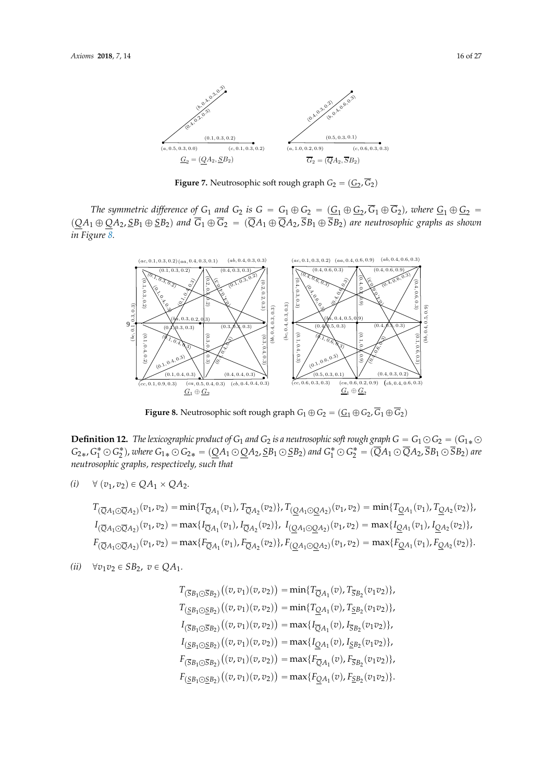<span id="page-15-0"></span>

**Figure 7.** Neutrosophic soft rough graph  $G_2 = (\underline{G}_2, \overline{G}_2)$ 

<span id="page-15-1"></span>The symmetric difference of  $G_1$  and  $G_2$  is  $G = G_1 \oplus G_2 = (\underline{G_1 \oplus G_2}, \overline{G_1 \oplus G_2})$ , where  $\underline{G_1 \oplus G_2}$  $(OA_1 \oplus OA_2, SB_1 \oplus SB_2)$  and  $\overline{G}_1 \oplus \overline{G}_2 = (\overline{OA}_1 \oplus \overline{OA}_2, \overline{SB}_1 \oplus \overline{SB}_2)$  are neutrosophic graphs as shown  $\sum_{i=1}^{N}$  Figure *The symmetric difference of*  $G_1$  *and*  $G_2$  *is*  $G = G_1 \oplus G_2 = (\underline{G}_1 \oplus \underline{G}_2, G_1 \oplus G_2)$ *, where*  $\underline{G}_1 \oplus \underline{G}_2 =$  $(QA_1 \oplus QA_2, SB_1 \oplus SB_2)$  and  $\overline{G}_1 \oplus \overline{G}_2 = (\overline{Q}A_1 \oplus \overline{Q}A_2, \overline{S}B_1 \oplus \overline{S}B_2)$  are neutrosophic graphs as shown *in Figure [8.](#page-15-1)* in Figure 8.  $\frac{Q_1+q_1 \cup Q_2+q_2 \cup Q_1 \cup Q_2}{q_1 \cup q_2 \cup q_1 \cup q_2}$  and  $Q_1+q_2 \cup Q_2+q_1 \cup Q_2+q_2 \cup Q_1$  are neutrosopine graphs as shown



**Figure 8.** Neutrosophic soft rough graph  $G_1 \oplus G_2 = (\underline{G}_1 \oplus G_2, G_1 \oplus G_2)$ 

**Definition 12.** The lexicographic product of  $G_1$  and  $G_2$  is a neutrosophic soft rough graph  $G = G_1 \odot G_2 = (G_{1*} \odot G_1)$  $G_{2*}$ ,  $G_1^* \odot G_2^*$ ), where  $G_{1*} \odot G_{2*} = (QA_1 \odot QA_2, 5B_1 \odot 5B_2)$  and  $G_1^* \odot G_2^* = (\overline{Q}A_1 \odot \overline{Q}A_2, \overline{S}B_1 \odot \overline{S}B_2)$  are neutrosophic graphs, respectively, such that

$$
(i) \quad \forall (v_1, v_2) \in QA_1 \times QA_2.
$$

$$
T_{(\overline{Q}A_1 \odot \overline{Q}A_2)}(v_1, v_2) = \min\{T_{\overline{Q}A_1}(v_1), T_{\overline{Q}A_2}(v_2)\}, T_{(\underline{Q}A_1 \odot \underline{Q}A_2)}(v_1, v_2) = \min\{T_{\underline{Q}A_1}(v_1), T_{\underline{Q}A_2}(v_2)\},
$$
  
\n
$$
I_{(\overline{Q}A_1 \odot \overline{Q}A_2)}(v_1, v_2) = \max\{I_{\overline{Q}A_1}(v_1), I_{\overline{Q}A_2}(v_2)\}, I_{(\underline{Q}A_1 \odot \underline{Q}A_2)}(v_1, v_2) = \max\{I_{\underline{Q}A_1}(v_1), I_{\underline{Q}A_2}(v_2)\},
$$
  
\n
$$
F_{(\overline{Q}A_1 \odot \overline{Q}A_2)}(v_1, v_2) = \max\{F_{\overline{Q}A_1}(v_1), F_{\overline{Q}A_2}(v_2)\}, F_{(\underline{Q}A_1 \odot \underline{Q}A_2)}(v_1, v_2) = \max\{F_{\underline{Q}A_1}(v_1), F_{\underline{Q}A_2}(v_2)\}.
$$

$$
(ii) \quad \forall v_1 v_2 \in SB_2, \ v \in QA_1.
$$

$$
T_{(\overline{S}B_1 \odot \overline{S}B_2)}((v, v_1)(v, v_2)) = \min\{T_{\overline{Q}A_1}(v), T_{\overline{S}B_2}(v_1v_2)\},
$$
  
\n
$$
T_{(\underline{S}B_1 \odot \overline{S}B_2)}((v, v_1)(v, v_2)) = \min\{T_{\underline{Q}A_1}(v), T_{\underline{S}B_2}(v_1v_2)\},
$$
  
\n
$$
I_{(\overline{S}B_1 \odot \overline{S}B_2)}((v, v_1)(v, v_2)) = \max\{I_{\overline{Q}A_1}(v), I_{\overline{S}B_2}(v_1v_2)\},
$$
  
\n
$$
I_{(\underline{S}B_1 \odot \overline{S}B_2)}((v, v_1)(v, v_2)) = \max\{I_{\underline{Q}A_1}(v), I_{\underline{S}B_2}(v_1v_2)\},
$$
  
\n
$$
F_{(\overline{S}B_1 \odot \overline{S}B_2)}((v, v_1)(v, v_2)) = \max\{F_{\overline{Q}A_1}(v), F_{\overline{S}B_2}(v_1v_2)\},
$$
  
\n
$$
F_{(\underline{S}B_1 \odot \underline{S}B_2)}((v, v_1)(v, v_2)) = \max\{F_{\underline{Q}A_1}(v), F_{\underline{S}B_2}(v_1v_2)\}.
$$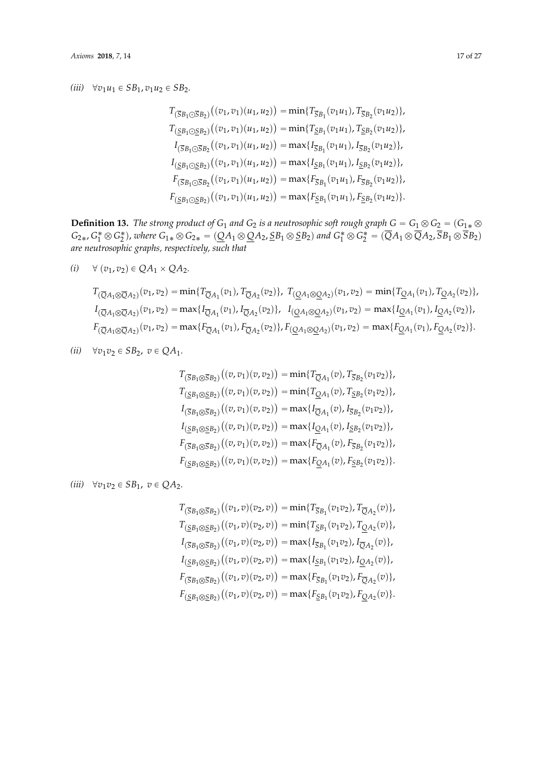### *(iii)*  $\forall v_1 u_1 \in SB_1, v_1 u_2 \in SB_2.$

$$
T_{(\overline{S}B_1 \odot \overline{S}B_2)}((v_1, v_1)(u_1, u_2)) = \min\{T_{\overline{S}B_1}(v_1u_1), T_{\overline{S}B_2}(v_1u_2)\},
$$
  
\n
$$
T_{(\underline{S}B_1 \odot \overline{S}B_2)}((v_1, v_1)(u_1, u_2)) = \min\{T_{\underline{S}B_1}(v_1u_1), T_{\underline{S}B_2}(v_1u_2)\},
$$
  
\n
$$
I_{(\overline{S}B_1 \odot \overline{S}B_2)}((v_1, v_1)(u_1, u_2)) = \max\{I_{\overline{S}B_1}(v_1u_1), I_{\overline{S}B_2}(v_1u_2)\},
$$
  
\n
$$
I_{(\underline{S}B_1 \odot \underline{S}B_2)}((v_1, v_1)(u_1, u_2)) = \max\{I_{\underline{S}B_1}(v_1u_1), I_{\underline{S}B_2}(v_1u_2)\},
$$
  
\n
$$
F_{(\overline{S}B_1 \odot \overline{S}B_2)}((v_1, v_1)(u_1, u_2)) = \max\{F_{\overline{S}B_1}(v_1u_1), F_{\overline{S}B_2}(v_1u_2)\},
$$
  
\n
$$
F_{(\underline{S}B_1 \odot \underline{S}B_2)}((v_1, v_1)(u_1, u_2)) = \max\{F_{\underline{S}B_1}(v_1u_1), F_{\underline{S}B_2}(v_1u_2)\}.
$$

**Definition 13.** *The strong product of*  $G_1$  *and*  $G_2$  *is a neutrosophic soft rough graph*  $G = G_1 \otimes G_2 = (G_{1*} \otimes$  $G_{2*}$ ,  $G_1^* \otimes G_2^*$ ), where  $G_{1*} \otimes G_{2*} = (\underline{Q}A_1 \otimes \underline{Q}A_2, \underline{S}B_1 \otimes \underline{S}B_2)$  and  $G_1^* \otimes G_2^* = (\overline{Q}A_1 \otimes \overline{Q}A_2, \overline{S}B_1 \otimes \overline{S}B_2)$ *are neutrosophic graphs, respectively, such that*

$$
(i) \quad \forall (v_1, v_2) \in QA_1 \times QA_2.
$$

$$
T_{(\overline{Q}A_1 \otimes \overline{Q}A_2)}(v_1, v_2) = \min\{T_{\overline{Q}A_1}(v_1), T_{\overline{Q}A_2}(v_2)\}, T_{(\underline{Q}A_1 \otimes \underline{Q}A_2)}(v_1, v_2) = \min\{T_{\underline{Q}A_1}(v_1), T_{\underline{Q}A_2}(v_2)\},
$$
  
\n
$$
I_{(\overline{Q}A_1 \otimes \overline{Q}A_2)}(v_1, v_2) = \max\{I_{\overline{Q}A_1}(v_1), I_{\overline{Q}A_2}(v_2)\}, I_{(\underline{Q}A_1 \otimes \underline{Q}A_2)}(v_1, v_2) = \max\{I_{\underline{Q}A_1}(v_1), I_{\underline{Q}A_2}(v_2)\},
$$
  
\n
$$
F_{(\overline{Q}A_1 \otimes \overline{Q}A_2)}(v_1, v_2) = \max\{F_{\overline{Q}A_1}(v_1), F_{\overline{Q}A_2}(v_2)\}, F_{(\underline{Q}A_1 \otimes \underline{Q}A_2)}(v_1, v_2) = \max\{F_{\underline{Q}A_1}(v_1), F_{\underline{Q}A_2}(v_2)\}.
$$

*(ii)*  $\forall v_1 v_2 \in SB_2, v \in QA_1.$ 

$$
T_{(\overline{S}B_1 \otimes \overline{S}B_2)}((v, v_1)(v, v_2)) = \min\{T_{\overline{Q}A_1}(v), T_{\overline{S}B_2}(v_1v_2)\},
$$
  
\n
$$
T_{(\underline{S}B_1 \otimes \underline{S}B_2)}((v, v_1)(v, v_2)) = \min\{T_{\underline{Q}A_1}(v), T_{\underline{S}B_2}(v_1v_2)\},
$$
  
\n
$$
I_{(\overline{S}B_1 \otimes \overline{S}B_2)}((v, v_1)(v, v_2)) = \max\{I_{\overline{Q}A_1}(v), I_{\overline{S}B_2}(v_1v_2)\},
$$
  
\n
$$
I_{(\underline{S}B_1 \otimes \underline{S}B_2)}((v, v_1)(v, v_2)) = \max\{I_{\underline{Q}A_1}(v), I_{\underline{S}B_2}(v_1v_2)\},
$$
  
\n
$$
F_{(\overline{S}B_1 \otimes \overline{S}B_2)}((v, v_1)(v, v_2)) = \max\{F_{\overline{Q}A_1}(v), F_{\overline{S}B_2}(v_1v_2)\},
$$
  
\n
$$
F_{(\underline{S}B_1 \otimes \underline{S}B_2)}((v, v_1)(v, v_2)) = \max\{F_{\underline{Q}A_1}(v), F_{\underline{S}B_2}(v_1v_2)\}.
$$

 $(iii)$   $\forall v_1v_2 \in SB_1, \ v \in QA_2.$ 

$$
T_{(\overline{S}B_1 \otimes \overline{S}B_2)}((v_1, v)(v_2, v)) = \min\{T_{\overline{S}B_1}(v_1v_2), T_{\overline{Q}A_2}(v)\},
$$
  
\n
$$
T_{(\underline{S}B_1 \otimes \underline{S}B_2)}((v_1, v)(v_2, v)) = \min\{T_{\underline{S}B_1}(v_1v_2), T_{\underline{Q}A_2}(v)\},
$$
  
\n
$$
I_{(\overline{S}B_1 \otimes \overline{S}B_2)}((v_1, v)(v_2, v)) = \max\{I_{\overline{S}B_1}(v_1v_2), I_{\overline{Q}A_2}(v)\},
$$
  
\n
$$
I_{(\underline{S}B_1 \otimes \underline{S}B_2)}((v_1, v)(v_2, v)) = \max\{I_{\underline{S}B_1}(v_1v_2), I_{\underline{Q}A_2}(v)\},
$$
  
\n
$$
F_{(\overline{S}B_1 \otimes \overline{S}B_2)}((v_1, v)(v_2, v)) = \max\{F_{\overline{S}B_1}(v_1v_2), F_{\overline{Q}A_2}(v)\},
$$
  
\n
$$
F_{(\underline{S}B_1 \otimes \underline{S}B_2)}((v_1, v)(v_2, v)) = \max\{F_{\underline{S}B_1}(v_1v_2), F_{\underline{Q}A_2}(v)\}.
$$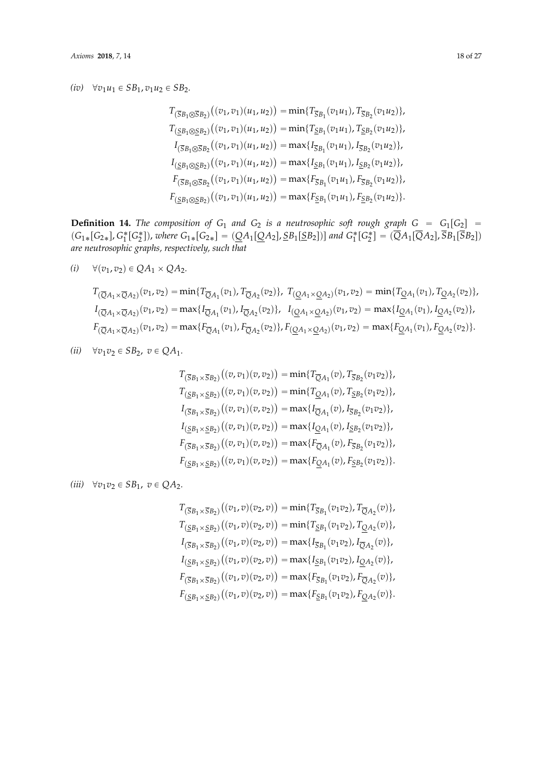### *(iv)*  $\forall v_1 u_1 \in SB_1, v_1 u_2 \in SB_2.$

$$
T_{(\overline{S}B_1 \otimes \overline{S}B_2)}((v_1, v_1)(u_1, u_2)) = \min\{T_{\overline{S}B_1}(v_1u_1), T_{\overline{S}B_2}(v_1u_2)\},
$$
  
\n
$$
T_{(\underline{S}B_1 \otimes \underline{S}B_2)}((v_1, v_1)(u_1, u_2)) = \min\{T_{\underline{S}B_1}(v_1u_1), T_{\underline{S}B_2}(v_1u_2)\},
$$
  
\n
$$
I_{(\overline{S}B_1 \otimes \overline{S}B_2)}((v_1, v_1)(u_1, u_2)) = \max\{I_{\overline{S}B_1}(v_1u_1), I_{\overline{S}B_2}(v_1u_2)\},
$$
  
\n
$$
I_{(\underline{S}B_1 \otimes \underline{S}B_2)}((v_1, v_1)(u_1, u_2)) = \max\{I_{\underline{S}B_1}(v_1u_1), I_{\underline{S}B_2}(v_1u_2)\},
$$
  
\n
$$
F_{(\overline{S}B_1 \otimes \overline{S}B_2)}((v_1, v_1)(u_1, u_2)) = \max\{F_{\overline{S}B_1}(v_1u_1), F_{\overline{S}B_2}(v_1u_2)\},
$$
  
\n
$$
F_{(\underline{S}B_1 \otimes \underline{S}B_2)}((v_1, v_1)(u_1, u_2)) = \max\{F_{\underline{S}B_1}(v_1u_1), F_{\underline{S}B_2}(v_1u_2)\}.
$$

**Definition 14.** The composition of  $G_1$  and  $G_2$  is a neutrosophic soft rough graph  $G = G_1[G_2] =$  $(G_{1*}[G_{2*}], G_1^*[G_2^*])$ , where  $G_{1*}[G_{2*}] = (\underline{Q}A_1[\underline{Q}A_2], \underline{S}B_1[\underline{S}B_2])]$  and  $G_1^*[G_2^*] = (\overline{Q}A_1[\overline{Q}A_2], \overline{S}B_1[\overline{S}B_2])$ *are neutrosophic graphs, respectively, such that*

$$
(i) \quad \forall (v_1, v_2) \in QA_1 \times QA_2.
$$

$$
T_{(\overline{Q}A_1 \times \overline{Q}A_2)}(v_1, v_2) = \min\{T_{\overline{Q}A_1}(v_1), T_{\overline{Q}A_2}(v_2)\}, T_{(\underline{Q}A_1 \times \underline{Q}A_2)}(v_1, v_2) = \min\{T_{\underline{Q}A_1}(v_1), T_{\underline{Q}A_2}(v_2)\},
$$
  
\n
$$
I_{(\overline{Q}A_1 \times \overline{Q}A_2)}(v_1, v_2) = \max\{I_{\overline{Q}A_1}(v_1), I_{\overline{Q}A_2}(v_2)\}, I_{(\underline{Q}A_1 \times \underline{Q}A_2)}(v_1, v_2) = \max\{I_{\underline{Q}A_1}(v_1), I_{\underline{Q}A_2}(v_2)\},
$$
  
\n
$$
F_{(\overline{Q}A_1 \times \overline{Q}A_2)}(v_1, v_2) = \max\{F_{\overline{Q}A_1}(v_1), F_{\overline{Q}A_2}(v_2)\}, F_{(\underline{Q}A_1 \times \underline{Q}A_2)}(v_1, v_2) = \max\{F_{\underline{Q}A_1}(v_1), F_{\underline{Q}A_2}(v_2)\}.
$$

*(ii)*  $\forall v_1 v_2 \in SB_2, v \in QA_1.$ 

$$
T_{(\overline{S}B_1 \times \overline{S}B_2)}((v, v_1)(v, v_2)) = \min\{T_{\overline{Q}A_1}(v), T_{\overline{S}B_2}(v_1v_2)\},
$$
  
\n
$$
T_{(\underline{S}B_1 \times \underline{S}B_2)}((v, v_1)(v, v_2)) = \min\{T_{\underline{Q}A_1}(v), T_{\underline{S}B_2}(v_1v_2)\},
$$
  
\n
$$
I_{(\overline{S}B_1 \times \overline{S}B_2)}((v, v_1)(v, v_2)) = \max\{I_{\overline{Q}A_1}(v), I_{\overline{S}B_2}(v_1v_2)\},
$$
  
\n
$$
I_{(\underline{S}B_1 \times \underline{S}B_2)}((v, v_1)(v, v_2)) = \max\{I_{\underline{Q}A_1}(v), I_{\underline{S}B_2}(v_1v_2)\},
$$
  
\n
$$
F_{(\overline{S}B_1 \times \overline{S}B_2)}((v, v_1)(v, v_2)) = \max\{F_{\overline{Q}A_1}(v), F_{\overline{S}B_2}(v_1v_2)\},
$$
  
\n
$$
F_{(\underline{S}B_1 \times \underline{S}B_2)}((v, v_1)(v, v_2)) = \max\{F_{\underline{Q}A_1}(v), F_{\underline{S}B_2}(v_1v_2)\}.
$$

 $(iii)$   $\forall v_1v_2 \in SB_1, \ v \in QA_2.$ 

$$
T_{(\overline{S}B_1 \times \overline{S}B_2)}((v_1, v)(v_2, v)) = \min\{T_{\overline{S}B_1}(v_1v_2), T_{\overline{Q}A_2}(v)\},
$$
  
\n
$$
T_{(\underline{S}B_1 \times \underline{S}B_2)}((v_1, v)(v_2, v)) = \min\{T_{\underline{S}B_1}(v_1v_2), T_{\underline{Q}A_2}(v)\},
$$
  
\n
$$
I_{(\overline{S}B_1 \times \overline{S}B_2)}((v_1, v)(v_2, v)) = \max\{I_{\overline{S}B_1}(v_1v_2), I_{\overline{Q}A_2}(v)\},
$$
  
\n
$$
I_{(\underline{S}B_1 \times \underline{S}B_2)}((v_1, v)(v_2, v)) = \max\{I_{\underline{S}B_1}(v_1v_2), I_{\underline{Q}A_2}(v)\},
$$
  
\n
$$
F_{(\overline{S}B_1 \times \overline{S}B_2)}((v_1, v)(v_2, v)) = \max\{F_{\overline{S}B_1}(v_1v_2), F_{\overline{Q}A_2}(v)\},
$$
  
\n
$$
F_{(\underline{S}B_1 \times \underline{S}B_2)}((v_1, v)(v_2, v)) = \max\{F_{\underline{S}B_1}(v_1v_2), F_{\underline{Q}A_2}(v)\}.
$$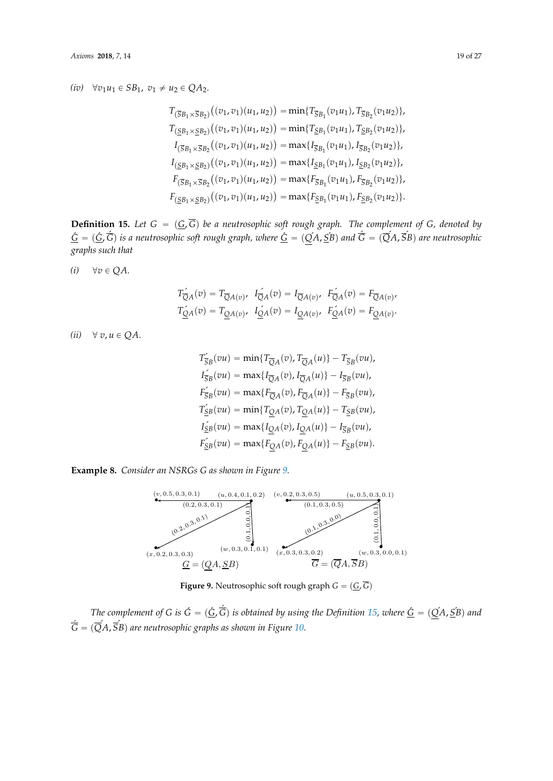# *(iv)*  $\forall v_1 u_1 \in SB_1$ ,  $v_1 \neq u_2 \in QA_2$ .

$$
T_{(\overline{S}B_1 \times \overline{S}B_2)}((v_1, v_1)(u_1, u_2)) = \min\{T_{\overline{S}B_1}(v_1u_1), T_{\overline{S}B_2}(v_1u_2)\},
$$
  
\n
$$
T_{(\underline{S}B_1 \times \underline{S}B_2)}((v_1, v_1)(u_1, u_2)) = \min\{T_{\underline{S}B_1}(v_1u_1), T_{\underline{S}B_2}(v_1u_2)\},
$$
  
\n
$$
I_{(\overline{S}B_1 \times \overline{S}B_2)}((v_1, v_1)(u_1, u_2)) = \max\{I_{\overline{S}B_1}(v_1u_1), I_{\overline{S}B_2}(v_1u_2)\},
$$
  
\n
$$
I_{(\underline{S}B_1 \times \underline{S}B_2)}((v_1, v_1)(u_1, u_2)) = \max\{I_{\underline{S}B_1}(v_1u_1), I_{\underline{S}B_2}(v_1u_2)\},
$$
  
\n
$$
F_{(\overline{S}B_1 \times \overline{S}B_2)}((v_1, v_1)(u_1, u_2)) = \max\{F_{\overline{S}B_1}(v_1u_1), F_{\overline{S}B_2}(v_1u_2)\},
$$
  
\n
$$
F_{(\underline{S}B_1 \times \underline{S}B_2)}((v_1, v_1)(u_1, u_2)) = \max\{F_{\underline{S}B_1}(v_1u_1), F_{\underline{S}B_2}(v_1u_2)\}.
$$

<span id="page-18-1"></span>**Definition 15.** Let  $G = (\underline{G}, \overline{G})$  be a neutrosophic soft rough graph. The complement of  $G$ , denoted by  $\underline{G}=(\underline{G},\overline{\acute{G}})$  is a neutrosophic soft rough graph, where  $\underline{G}=(\bar{Q}A,\bar{S}B)$  and  $\overline{\acute{G}}=(\overline{Q}A,\overline{S}B)$  are neutrosophic *graphs such that*

 $(i)$   $\forall v \in QA$ .

$$
T_{\overline{Q}A}^{\prime}(v) = T_{\overline{Q}A(v)}, \quad I_{\overline{Q}A}^{\prime}(v) = I_{\overline{Q}A(v)}, \quad F_{\overline{Q}A}^{\prime}(v) = F_{\overline{Q}A(v)},
$$

$$
T_{\underline{Q}A}^{\prime}(v) = T_{\underline{Q}A(v)}, \quad I_{\underline{Q}A}^{\prime}(v) = I_{\underline{Q}A(v)}, \quad F_{\underline{Q}A}^{\prime}(v) = F_{\underline{Q}A(v)}.
$$

 $(ii)$   $\forall v, u \in QA.$  $(x, y, y, z)$ 

$$
T_{\overline{S}B}^{'}(vu) = \min\{T_{\overline{Q}A}(v), T_{\overline{Q}A}(u)\} - T_{\overline{S}B}(vu),
$$
  
\n
$$
I_{\overline{S}B}^{'}(vu) = \max\{I_{\overline{Q}A}(v), I_{\overline{Q}A}(u)\} - I_{\overline{S}B}(vu),
$$
  
\n
$$
F_{\overline{S}B}^{'}(vu) = \max\{F_{\overline{Q}A}(v), F_{\overline{Q}A}(u)\} - F_{\overline{S}B}(vu),
$$
  
\n
$$
T_{\underline{S}B}^{'}(vu) = \min\{T_{\underline{Q}A}(v), T_{\underline{Q}A}(u)\} - T_{\underline{S}B}(vu),
$$
  
\n
$$
I_{\underline{S}B}^{'}(vu) = \max\{I_{\underline{Q}A}(v), I_{\underline{Q}A}(u)\} - I_{\overline{S}B}(vu),
$$
  
\n
$$
F_{\underline{S}B}^{'}(vu) = \max\{F_{\underline{Q}A}(v), F_{\underline{Q}A}(u)\} - F_{\underline{S}B}(vu).
$$

<span id="page-18-0"></span>Example 8. Consider an NSRGs G as show[n i](#page-18-0)n Figure 9.



**Figure 9.** Neutrosophic soft rough graph  $G = (\underline{G}, G)$ 

The complement of G is  $\hat{G} = (\hat{G}, \overline{G})$  is obtained by using the Definition 15, where  $\underline{G} = (\underline{Q}A, \underline{S}B)$  and  $\underline{G} = \underline{G}$  $G = (QA, SB)$  are net *The complement of G is*  $\acute{G} = (\acute{G}, \acute{\overline{G}})$  *is obtained by using the Definition [15,](#page-18-1) where*  $\underline{\acute{G}} = (\acute{Q}A, \acute{S}B)$  *and*  $\tilde{\overline{G}} = (\overline{Q}A, \overline{S}B)$  are neutrosophic graphs as shown in Figure [10.](#page-19-0)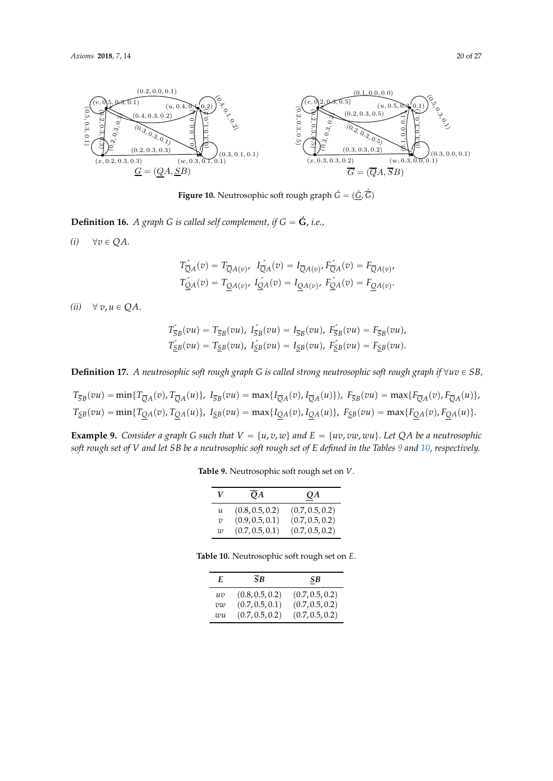<span id="page-19-0"></span>

**Figure 10.** Neutrosophic soft rough graph  $\vec{G} = (\vec{G}, \vec{\hat{G}})$ 

**Definition 16.** *A graph G is called self complement, if G* =  $\acute{\mathbf{G}}$ *, i.e.,* 

 $(v)$   $\vee$  $(i)$   $\forall v \in QA.$ 

$$
T_{\overline{Q}A}^{\prime}(v) = T_{\overline{Q}A(v)}, \quad I_{\overline{Q}A}^{\prime}(v) = I_{\overline{Q}A(v)}, \quad F_{\overline{Q}A}^{\prime}(v) = F_{\overline{Q}A(v)},
$$

$$
T_{\underline{Q}A}^{\prime}(v) = T_{\underline{Q}A(v)}, \quad I_{\underline{Q}A}^{\prime}(v) = I_{\underline{Q}A(v)}, \quad F_{\underline{Q}A}^{\prime}(v) = F_{\underline{Q}A(v)}.
$$

 $(ii)$   $\forall v, u \in QA.$ 

$$
T_{\overline{S}B}(\overline{v}u) = T_{\overline{S}B}(\overline{v}u), \quad I_{\overline{S}B}(\overline{v}u) = I_{\overline{S}B}(\overline{v}u), \quad I_{\overline{S}B}(\overline{v}u) = I_{\overline{S}B}(\overline{v}u),
$$
  

$$
T_{\underline{S}B}(\overline{v}u) = T_{\underline{S}B}(\overline{v}u), \quad I_{\underline{S}B}(\overline{v}u) = I_{\underline{S}B}(\overline{v}u), \quad I_{\underline{S}B}(\overline{v}u) = I_{\underline{S}B}(\overline{v}u).
$$

**Definition 17.** A neutrosophic soft rough graph G is called strong neutrosophic soft rough graph if  $\forall uv \in SB$ ,

$$
T_{\overline{S}B}(vu) = \min\{T_{\overline{Q}A}(v), T_{\overline{Q}A}(u)\}, \ I_{\overline{S}B}(vu) = \max\{I_{\overline{Q}A}(v), I_{\overline{Q}A}(u)\}, \ F_{\overline{S}B}(vu) = \max\{F_{\overline{Q}A}(v), F_{\overline{Q}A}(u)\},
$$
  

$$
T_{\underline{S}B}(vu) = \min\{T_{\underline{Q}A}(v), T_{\underline{Q}A}(u)\}, \ I_{\underline{S}B}(vu) = \max\{I_{\underline{Q}A}(v), I_{\underline{Q}A}(u)\}, \ F_{\underline{S}B}(vu) = \max\{F_{\underline{Q}A}(v), F_{\underline{Q}A}(u)\}.
$$

<span id="page-19-1"></span>**Example 9.** Consider a graph G such that  $V = \{u, v, w\}$  and  $E = \{uv, vw, wu\}$ . Let QA be a neutrosophic *soft rough set of V and let SB be a neutrosophic soft rough set of E defined in the Tables [9](#page-19-1) and [10,](#page-19-2) respectively.*

**Table 9.** Neutrosophic soft rough set on *V*.

| V              | QA              | QA              |
|----------------|-----------------|-----------------|
| u              | (0.8, 0.5, 0.2) | (0.7, 0.5, 0.2) |
| $\overline{v}$ | (0.9, 0.5, 0.1) | (0.7, 0.5, 0.2) |
| $\overline{w}$ | (0.7, 0.5, 0.1) | (0.7, 0.5, 0.2) |

<span id="page-19-2"></span>

| Table 10. Neutrosophic soft rough set on E. |  |  |
|---------------------------------------------|--|--|
|---------------------------------------------|--|--|

| E  | <b>SB</b>       | SВ              |
|----|-----------------|-----------------|
| uv | (0.8, 0.5, 0.2) | (0.7, 0.5, 0.2) |
| vw | (0.7, 0.5, 0.1) | (0.7, 0.5, 0.2) |
| wu | (0.7, 0.5, 0.2) | (0.7, 0.5, 0.2) |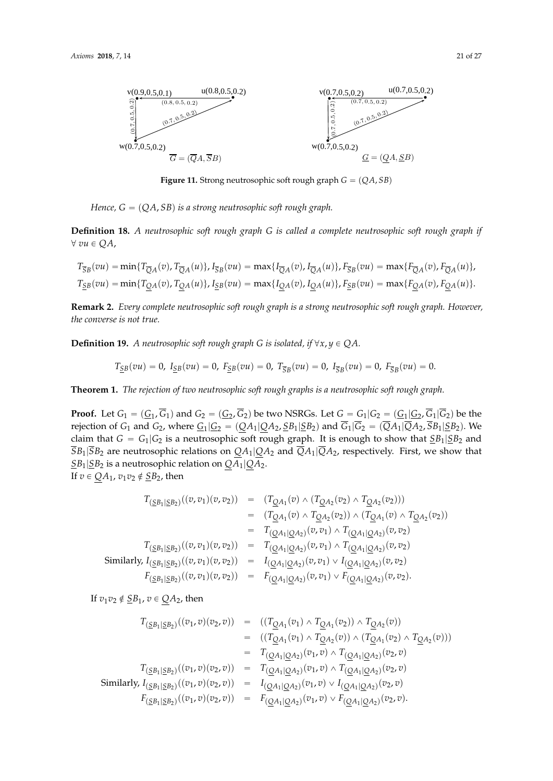

**Figure 11.** Strong neutrosophic soft rough graph  $G = (QA, SB)$ 

Hence, G = (QA, SB) is a strong neutrosophic soft rough graph. *Hence, G* " p*QA*, *SB*q *is a strong neutrosophic soft rough graph.*

**Definition 18.** A neutrosophic soft rough graph G is called a complete neutrosophic soft rough graph if ∀ vu ∈ QA, @ *vu* P *QA*,

$$
T_{\overline{S}B}(vu) = \min\{T_{\overline{Q}A}(v), T_{\overline{Q}A}(u)\}, I_{\overline{S}B}(vu) = \max\{I_{\overline{Q}A}(v), I_{\overline{Q}A}(u)\}, F_{\overline{S}B}(vu) = \max\{F_{\overline{Q}A}(v), F_{\overline{Q}A}(u)\},
$$
  

$$
T_{\underline{S}B}(vu) = \min\{T_{\underline{Q}A}(v), T_{\underline{Q}A}(u)\}, I_{\underline{S}B}(vu) = \max\{I_{\underline{Q}A}(v), I_{\underline{Q}A}(u)\}, F_{\underline{S}B}(vu) = \max\{F_{\underline{Q}A}(v), F_{\underline{Q}A}(u)\}.
$$

Remark 2.2. Every complete neutrosophic soft rough graph is a strong neutrosophic soft rough graph. **Remark 2.** *Every complete neutrosophic soft rough graph is a strong neutrosophic soft rough graph. However,* the converse is not true.

**Definition 19.** *A neutrosophic soft rough graph G is isolated, if*  $\forall x, y \in QA$ .

$$
T_{\underline{S}B}(vu) = 0, I_{\underline{S}B}(vu) = 0, F_{\underline{S}B}(vu) = 0, T_{\overline{S}B}(vu) = 0, I_{\overline{S}B}(vu) = 0, F_{\overline{S}B}(vu) = 0.
$$

Theorem 2.1. The rejection of two neutrosophic soft rough graphs is a neutrosophic soft rough graph. **Theorem 1.** *The rejection of two neutrosophic soft rough graphs is a neutrosophic soft rough graph.*

Proof. Let G<sup>1</sup> = (G<sup>1</sup> , G1) and G<sup>2</sup> = (G<sup>2</sup> , G2) be two NSRGs. Let G = G1|G<sup>2</sup> = (G<sup>1</sup> |G<sup>2</sup> **Proof.** Let  $G_1 = (\underline{G}_1, G_1)$  and  $G_2 = (\underline{G}_2, G_2)$  be two NSRGs. Let  $G = G_1 | G_2 = (\underline{G}_1 | \underline{G}_2, G_1 | G_2)$  be the rejection of  $G_1$  and  $G_2$ , where  $\underline{G_1}|\underline{G_2} = (\underline{Q}A_1|\underline{Q}A_2, \underline{S}B_1|\underline{S}B_2)$  and  $G_1|G_2 = (QA_1|QA_2, SB_1|\underline{S}B_2)$ . We claim that  $G = G_1|G_2$  is a neutrosophic soft rough graph. It is enough to show that  $\underline{S}B_1|\underline{S}B_2$  and  $\overline{S}B_1|\overline{S}B_2$  are neutrosophic relations on  $\underline{Q}A_1|\underline{Q}A_2$  and  $\overline{Q}A_1|\overline{Q}A_2$ , respectively. First, we show that *SB*1|*SB*<sup>2</sup> is a neutrosophic relation on *QA*1|*QA*2. If  $v \in QA_1$ ,  $v_1v_2 \notin \underline{SB_2}$ , then

$$
T_{(\underline{S}B_1|\underline{S}B_2)}((v,v_1)(v,v_2)) = (T_{\underline{Q}A_1}(v) \wedge (T_{\underline{Q}A_2}(v_2) \wedge T_{\underline{Q}A_2}(v_2)))
$$
  
\n
$$
= (T_{\underline{Q}A_1}(v) \wedge T_{\underline{Q}A_2}(v_2)) \wedge (T_{\underline{Q}A_1}(v) \wedge T_{\underline{Q}A_2}(v_2))
$$
  
\n
$$
= T_{(\underline{Q}A_1|\underline{Q}A_2)}(v,v_1) \wedge T_{(\underline{Q}A_1|\underline{Q}A_2)}(v,v_2)
$$
  
\n
$$
T_{(\underline{S}B_1|\underline{S}B_2)}((v,v_1)(v,v_2)) = T_{(\underline{Q}A_1|\underline{Q}A_2)}(v,v_1) \wedge T_{(\underline{Q}A_1|\underline{Q}A_2)}(v,v_2)
$$
  
\nSimilarly,  $I_{(\underline{S}B_1|\underline{S}B_2)}((v,v_1)(v,v_2)) = I_{(\underline{Q}A_1|\underline{Q}A_2)}(v,v_1) \vee I_{(\underline{Q}A_1|\underline{Q}A_2)}(v,v_2)$   
\n
$$
F_{(\underline{S}B_1|\underline{S}B_2)}((v,v_1)(v,v_2)) = F_{(\underline{Q}A_1|\underline{Q}A_2)}(v,v_1) \vee F_{(\underline{Q}A_1|\underline{Q}A_2)}(v,v_2).
$$

If  $v_1v_2 \notin \underline{S}B_1$ ,  $v \in QA_2$ , then

$$
T_{(\underline{S}B_1|\underline{S}B_2)}((v_1,v)(v_2,v)) = ((T_{\underline{Q}A_1}(v_1) \wedge T_{\underline{Q}A_1}(v_2)) \wedge T_{\underline{Q}A_2}(v))
$$
  
\n
$$
= ((T_{\underline{Q}A_1}(v_1) \wedge T_{\underline{Q}A_2}(v)) \wedge (T_{\underline{Q}A_1}(v_2) \wedge T_{\underline{Q}A_2}(v)))
$$
  
\n
$$
= T_{(\underline{Q}A_1|\underline{Q}A_2)}(v_1,v) \wedge T_{(\underline{Q}A_1|\underline{Q}A_2)}(v_2,v)
$$
  
\n
$$
T_{(\underline{S}B_1|\underline{S}B_2)}((v_1,v)(v_2,v)) = T_{(\underline{Q}A_1|\underline{Q}A_2)}(v_1,v) \wedge T_{(\underline{Q}A_1|\underline{Q}A_2)}(v_2,v)
$$
  
\nSimilarly,  $I_{(\underline{S}B_1|\underline{S}B_2)}((v_1,v)(v_2,v)) = I_{(\underline{Q}A_1|\underline{Q}A_2)}(v_1,v) \vee I_{(\underline{Q}A_1|\underline{Q}A_2)}(v_2,v)$   
\n
$$
F_{(\underline{S}B_1|\underline{S}B_2)}((v_1,v)(v_2,v)) = F_{(\underline{Q}A_1|\underline{Q}A_2)}(v_1,v) \vee F_{(\underline{Q}A_1|\underline{Q}A_2)}(v_2,v).
$$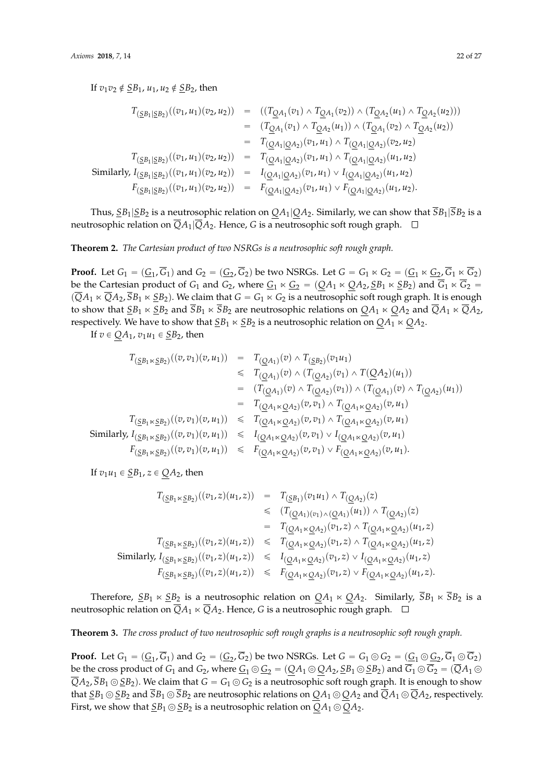If  $v_1v_2 \notin \underline{SB}_1$ ,  $u_1, u_2 \notin \underline{SB}_2$ , then

$$
T_{(\underline{S}B_1|\underline{S}B_2)}((v_1, u_1)(v_2, u_2)) = ((T_{\underline{Q}A_1}(v_1) \wedge T_{\underline{Q}A_1}(v_2)) \wedge (T_{\underline{Q}A_2}(u_1) \wedge T_{\underline{Q}A_2}(u_2)))
$$
  
\n
$$
= (T_{\underline{Q}A_1}(v_1) \wedge T_{\underline{Q}A_2}(u_1)) \wedge (T_{\underline{Q}A_1}(v_2) \wedge T_{\underline{Q}A_2}(u_2))
$$
  
\n
$$
= T_{(\underline{Q}A_1|\underline{Q}A_2)}(v_1, u_1) \wedge T_{(\underline{Q}A_1|\underline{Q}A_2)}(v_2, u_2)
$$
  
\nSimilarly,  $I_{(\underline{S}B_1|\underline{S}B_2)}((v_1, u_1)(v_2, u_2)) = T_{(\underline{Q}A_1|\underline{Q}A_2)}(v_1, u_1) \wedge T_{(\underline{Q}A_1|\underline{Q}A_2)}(u_1, u_2)$   
\n
$$
F_{(\underline{S}B_1|\underline{S}B_2)}((v_1, u_1)(v_2, u_2)) = I_{(\underline{Q}A_1|\underline{Q}A_2)}(v_1, u_1) \vee I_{(\underline{Q}A_1|\underline{Q}A_2)}(u_1, u_2)
$$
  
\n
$$
F_{(\underline{S}B_1|\underline{S}B_2)}((v_1, u_1)(v_2, u_2)) = F_{(\underline{Q}A_1|\underline{Q}A_2)}(v_1, u_1) \vee F_{(\underline{Q}A_1|\underline{Q}A_2)}(u_1, u_2).
$$

Thus,  $\frac{SB_1|SB_2}{SB_2}$  is a neutrosophic relation on  $QA_1|QA_2$ . Similarly, we can show that  $\overline{SB_1|SB_2}$  is a neutrosophic relation on  $\overline{Q}A_1|\overline{Q}A_2$ . Hence, G is a neutrosophic soft rough graph.  $\Box$ 

**Theorem 2.** *The Cartesian product of two NSRGs is a neutrosophic soft rough graph.*

**Proof.** Let  $G_1 = (G_1, G_1)$  and  $G_2 = (G_2, G_2)$  be two NSRGs. Let  $G = G_1 \ltimes G_2 = (G_1 \ltimes G_2, G_1 \ltimes G_2)$ be the Cartesian product of  $G_1$  and  $G_2$ , where  $\underline{G}_1 \ltimes \underline{G}_2 = (QA_1 \ltimes QA_2, \underline{S}B_1 \ltimes \underline{S}B_2)$  and  $\overline{G}_1 \ltimes \overline{G}_2$  $p(\overline{Q}A_1 \ltimes \overline{Q}A_2, \overline{S}B_1 \ltimes \underline{S}B_2)$ . We claim that  $G = G_1 \ltimes G_2$  is a neutrosophic soft rough graph. It is enough to show that  $SB_1 \times SB_2$  and  $\overline{SB}_1 \times \overline{SB}_2$  are neutrosophic relations on  $QA_1 \times QA_2$  and  $\overline{QA}_1 \times \overline{QA}_2$ , respectively. We have to show that  $\underline{S}B_1 \ltimes \underline{S}B_2$  is a neutrosophic relation on  $QA_1 \ltimes QA_2$ .

If  $v \in QA_1$ ,  $v_1u_1 \in SB_2$ , then

$$
T_{(\underline{S}B_1 \times \underline{S}B_2)}((v, v_1)(v, u_1)) = T_{(\underline{Q}A_1)}(v) \wedge T_{(\underline{S}B_2)}(v_1 u_1)
$$
  
\n
$$
\leq T_{(\underline{Q}A_1)}(v) \wedge (T_{(\underline{Q}A_2)}(v_1) \wedge T(\underline{Q}A_2)(u_1))
$$
  
\n
$$
= (T_{(\underline{Q}A_1)}(v) \wedge T_{(\underline{Q}A_2)}(v_1)) \wedge (T_{(\underline{Q}A_1)}(v) \wedge T_{(\underline{Q}A_2)}(u_1))
$$
  
\n
$$
= T_{(\underline{Q}A_1 \times \underline{Q}A_2)}(v, v_1) \wedge T_{(\underline{Q}A_1 \times \underline{Q}A_2)}(v, u_1)
$$
  
\n
$$
T_{(\underline{S}B_1 \times \underline{S}B_2)}((v, v_1)(v, u_1)) \leq T_{(\underline{Q}A_1 \times \underline{Q}A_2)}(v, v_1) \wedge T_{(\underline{Q}A_1 \times \underline{Q}A_2)}(v, u_1)
$$
  
\nSimilarly,  $I_{(\underline{S}B_1 \times \underline{S}B_2)}((v, v_1)(v, u_1)) \leq I_{(\underline{Q}A_1 \times \underline{Q}A_2)}(v, v_1) \vee I_{(\underline{Q}A_1 \times \underline{Q}A_2)}(v, u_1)$   
\n $F_{(\underline{S}B_1 \times \underline{S}B_2)}((v, v_1)(v, u_1)) \leq F_{(\underline{Q}A_1 \times \underline{Q}A_2)}(v, v_1) \vee F_{(\underline{Q}A_1 \times \underline{Q}A_2)}(v, u_1).$ 

If  $v_1u_1 \in \underline{SB}_1$ ,  $z \in QA_2$ , then

$$
T_{(\underline{S}B_1 \times \underline{S}B_2)}((v_1, z)(u_1, z)) = T_{(\underline{S}B_1)}(v_1u_1) \wedge T_{(\underline{Q}A_2)}(z)
$$
  
\n
$$
\leq (T_{(\underline{Q}A_1)(v_1) \wedge (\underline{Q}A_1)}(u_1)) \wedge T_{(\underline{Q}A_2)}(z)
$$
  
\n
$$
= T_{(\underline{Q}A_1 \times \underline{Q}A_2)}(v_1, z) \wedge T_{(\underline{Q}A_1 \times \underline{Q}A_2)}(u_1, z)
$$
  
\n
$$
T_{(\underline{S}B_1 \times \underline{S}B_2)}((v_1, z)(u_1, z)) \leq T_{(\underline{Q}A_1 \times \underline{Q}A_2)}(v_1, z) \wedge T_{(\underline{Q}A_1 \times \underline{Q}A_2)}(u_1, z)
$$
  
\nSimilarly,  $I_{(\underline{S}B_1 \times \underline{S}B_2)}((v_1, z)(u_1, z)) \leq I_{(\underline{Q}A_1 \times \underline{Q}A_2)}(v_1, z) \vee I_{(\underline{Q}A_1 \times \underline{Q}A_2)}(u_1, z)$   
\n
$$
F_{(\underline{S}B_1 \times \underline{S}B_2)}((v_1, z)(u_1, z)) \leq F_{(\underline{Q}A_1 \times \underline{Q}A_2)}(v_1, z) \vee F_{(\underline{Q}A_1 \times \underline{Q}A_2)}(u_1, z).
$$

Therefore,  $\underline{S}B_1 \ltimes \underline{S}B_2$  is a neutrosophic relation on  $QA_1 \ltimes QA_2$ . Similarly,  $\overline{S}B_1 \ltimes \overline{S}B_2$  is a neutrosophic relation on  $\overline{Q}A_1 \ltimes \overline{Q}A_2$ . Hence, *G* is a neutrosophic rough graph.  $\Box$ 

**Theorem 3.** *The cross product of two neutrosophic soft rough graphs is a neutrosophic soft rough graph.*

**Proof.** Let  $G_1 = (G_1, G_1)$  and  $G_2 = (G_2, G_2)$  be two NSRGs. Let  $G = G_1 \odot G_2 = (G_1 \odot G_2, G_1 \odot G_2)$ be the cross product of  $G_1$  and  $G_2$ , where  $\underline{G}_1 \odot \underline{G}_2 = (QA_1 \odot QA_2, \underline{S}B_1 \odot \underline{S}B_2)$  and  $\overline{G}_1 \odot \overline{G}_2 = (\overline{Q}A_1 \odot \overline{Q}B_2)$  $\overline{Q}A_2$ ,  $\overline{S}B_1 \odot \underline{S}B_2$ ). We claim that  $G = G_1 \odot G_2$  is a neutrosophic soft rough graph. It is enough to show that  $\underline{S}B_1 \odot \underline{S}B_2$  and  $\overline{S}B_1 \odot \overline{S}B_2$  are neutrosophic relations on  $QA_1 \odot QA_2$  and  $\overline{Q}A_1 \odot \overline{Q}A_2$ , respectively. First, we show that  $\underline{S}B_1 \odot \underline{S}B_2$  is a neutrosophic relation on  $QA_1 \odot QA_2$ .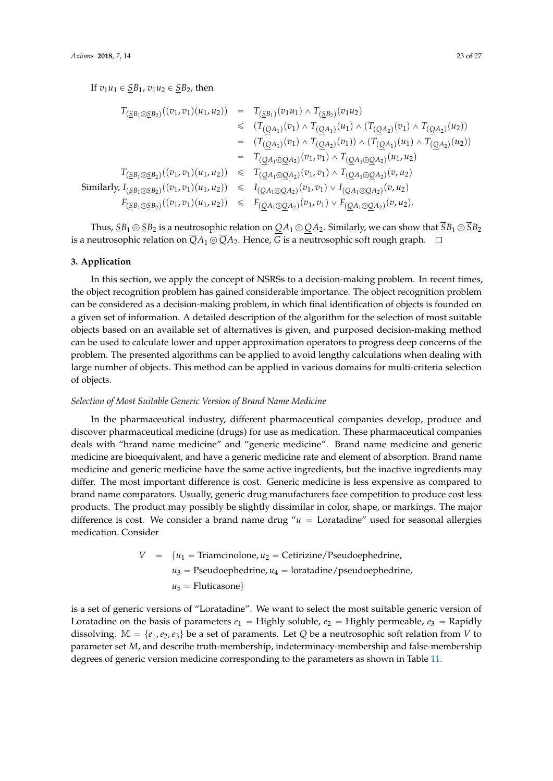If  $v_1u_1 \in \underline{SB}_1$ ,  $v_1u_2 \in \underline{SB}_2$ , then

$$
T_{(\underline{S}B_1 \odot \underline{S}B_2)}((v_1, v_1)(u_1, u_2)) = T_{(\underline{S}B_1)}(v_1u_1) \wedge T_{(\underline{S}B_2)}(v_1u_2)
$$
  
\n
$$
\leq (T_{(\underline{Q}A_1)}(v_1) \wedge T_{(\underline{Q}A_1)}(u_1) \wedge (T_{(\underline{Q}A_2)}(v_1) \wedge T_{(\underline{Q}A_2)}(u_2))
$$
  
\n
$$
= (T_{(\underline{Q}A_1)}(v_1) \wedge T_{(\underline{Q}A_2)}(v_1)) \wedge (T_{(\underline{Q}A_1)}(u_1) \wedge T_{(\underline{Q}A_2)}(u_2))
$$
  
\n
$$
= T_{(\underline{Q}A_1 \odot \underline{Q}A_2)}(v_1, v_1) \wedge T_{(\underline{Q}A_1 \odot \underline{Q}A_2)}(u_1, u_2)
$$
  
\n
$$
T_{(\underline{S}B_1 \odot \underline{S}B_2)}((v_1, v_1)(u_1, u_2)) \leq T_{(\underline{Q}A_1 \odot \underline{Q}A_2)}(v_1, v_1) \wedge T_{(\underline{Q}A_1 \odot \underline{Q}A_2)}(v, u_2)
$$
  
\nSimilarly,  $I_{(\underline{S}B_1 \odot \underline{S}B_2)}((v_1, v_1)(u_1, u_2)) \leq I_{(\underline{Q}A_1 \odot \underline{Q}A_2)}(v_1, v_1) \vee I_{(\underline{Q}A_1 \odot \underline{Q}A_2)}(v, u_2)$   
\n
$$
F_{(\underline{S}B_1 \odot \underline{S}B_2)}((v_1, v_1)(u_1, u_2)) \leq F_{(\underline{Q}A_1 \odot \underline{Q}A_2)}(v_1, v_1) \vee F_{(\underline{Q}A_1 \odot \underline{Q}A_2)}(v, u_2).
$$

Thus,  $\underline{S}B_1 \odot \underline{S}B_2$  is a neutrosophic relation on  $QA_1 \odot QA_2$ . Similarly, we can show that  $\overline{S}B_1 \odot \overline{S}B_2$ is a neutrosophic relation on  $\overline{Q}A_1 \odot \overline{Q}A_2$ . Hence, *G* is a neutrosophic soft rough graph.  $\Box$ 

#### **3. Application**

In this section, we apply the concept of NSRSs to a decision-making problem. In recent times, the object recognition problem has gained considerable importance. The object recognition problem can be considered as a decision-making problem, in which final identification of objects is founded on a given set of information. A detailed description of the algorithm for the selection of most suitable objects based on an available set of alternatives is given, and purposed decision-making method can be used to calculate lower and upper approximation operators to progress deep concerns of the problem. The presented algorithms can be applied to avoid lengthy calculations when dealing with large number of objects. This method can be applied in various domains for multi-criteria selection of objects.

#### *Selection of Most Suitable Generic Version of Brand Name Medicine*

In the pharmaceutical industry, different pharmaceutical companies develop, produce and discover pharmaceutical medicine (drugs) for use as medication. These pharmaceutical companies deals with "brand name medicine" and "generic medicine". Brand name medicine and generic medicine are bioequivalent, and have a generic medicine rate and element of absorption. Brand name medicine and generic medicine have the same active ingredients, but the inactive ingredients may differ. The most important difference is cost. Generic medicine is less expensive as compared to brand name comparators. Usually, generic drug manufacturers face competition to produce cost less products. The product may possibly be slightly dissimilar in color, shape, or markings. The major difference is cost. We consider a brand name drug  $u =$  Loratadine" used for seasonal allergies medication. Consider

$$
V = \{u_1 = \text{Triamcinolone}, u_2 = \text{Cetirizine/Pseudoephedrine},
$$
  

$$
u_3 = \text{Pseudoephedrine}, u_4 = \text{loratadine/pseudoephedrine},
$$
  

$$
u_5 = \text{Fluticasone}
$$

is a set of generic versions of "Loratadine". We want to select the most suitable generic version of Loratadine on the basis of parameters  $e_1$  = Highly soluble,  $e_2$  = Highly permeable,  $e_3$  = Rapidly dissolving.  $M = \{e_1, e_2, e_3\}$  be a set of paraments. Let *Q* be a neutrosophic soft relation from *V* to parameter set *M*, and describe truth-membership, indeterminacy-membership and false-membership degrees of generic version medicine corresponding to the parameters as shown in Table [11.](#page-23-0)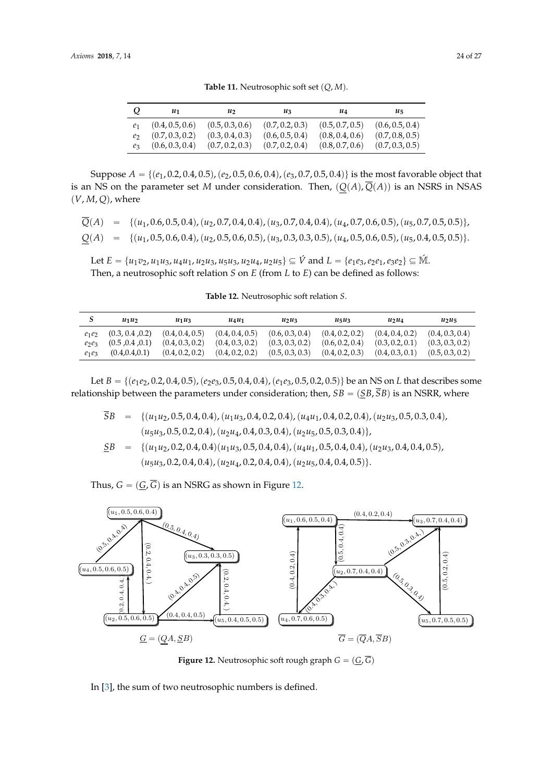Table 11. Neutrosophic soft set  $(Q, M)$ .

<span id="page-23-0"></span>

| Q              | u1              | $\mathfrak{u}_2$ | u2              | uа              | $u_{5}$         |
|----------------|-----------------|------------------|-----------------|-----------------|-----------------|
| $\ell_1$       | (0.4, 0.5, 0.6) | (0.5, 0.3, 0.6)  | (0.7, 0.2, 0.3) | (0.5, 0.7, 0.5) | (0.6, 0.5, 0.4) |
| e              | (0.7, 0.3, 0.2) | (0.3, 0.4, 0.3)  | (0.6, 0.5, 0.4) | (0.8, 0.4, 0.6) | (0.7, 0.8, 0.5) |
| e <sub>3</sub> | (0.6, 0.3, 0.4) | (0.7, 0.2, 0.3)  | (0.7, 0.2, 0.4) | (0.8, 0.7, 0.6) | (0.7, 0.3, 0.5) |

Suppose  $A = \{(e_1, 0.2, 0.4, 0.5), (e_2, 0.5, 0.6, 0.4), (e_3, 0.7, 0.5, 0.4)\}\$ is the most favorable object that is an NS on the parameter set *M* under consideration. Then,  $(Q(A), \overline{Q}(A))$  is an NSRS in NSAS  $(V, M, Q)$ , where

$$
\overline{Q}(A) = \{(u_1, 0.6, 0.5, 0.4), (u_2, 0.7, 0.4, 0.4), (u_3, 0.7, 0.4, 0.4), (u_4, 0.7, 0.6, 0.5), (u_5, 0.7, 0.5, 0.5)\},\newline \underline{Q}(A) = \{(u_1, 0.5, 0.6, 0.4), (u_2, 0.5, 0.6, 0.5), (u_3, 0.3, 0.3, 0.5), (u_4, 0.5, 0.6, 0.5), (u_5, 0.4, 0.5, 0.5)\}.
$$

Let  $E = {u_1v_2, u_1u_3, u_4u_1, u_2u_3, u_5u_3, u_2u_4, u_2u_5} \subseteq \hat{V}$  and  $L = {e_1e_3, e_2e_1, e_3e_2} \subseteq \hat{M}$ . Then, a neutrosophic soft relation *S* on *E* (from *L* to *E*) can be defined as follows:

**Table 12.** Neutrosophic soft relation *S*.

|                      | $u_1u_2$                           | $u_1u_3$                           | $u_4u_1$                           | $u_2u_3$                           | $u_5u_3$                           | $u_2u_4$                           | $u_2u_5$                           |
|----------------------|------------------------------------|------------------------------------|------------------------------------|------------------------------------|------------------------------------|------------------------------------|------------------------------------|
| $e_1e_2$             | (0.3, 0.4, 0.2)<br>(0.5, 0.4, 0.1) | (0.4, 0.4, 0.5)<br>(0.4, 0.3, 0.2) | (0.4, 0.4, 0.5)<br>(0.4, 0.3, 0.2) | (0.6, 0.3, 0.4)<br>(0.3, 0.3, 0.2) | (0.4, 0.2, 0.2)<br>(0.6, 0.2, 0.4) | (0.4, 0.4, 0.2)<br>(0.3, 0.2, 0.1) | (0.4, 0.3, 0.4)<br>(0.3, 0.3, 0.2) |
| $e_2e_3$<br>$e_1e_3$ | (0.4, 0.4, 0.1)                    | (0.4, 0.2, 0.2)                    | (0.4, 0.2, 0.2)                    | (0.5, 0.3, 0.3)                    | (0.4, 0.2, 0.3)                    | (0.4, 0.3, 0.1)                    | (0.5, 0.3, 0.2)                    |

Let  $B = \{(e_1e_2, 0.2, 0.4, 0.5), (e_2e_3, 0.5, 0.4, 0.4), (e_1e_3, 0.5, 0.2, 0.5)\}\$ be an NS on *L* that describes some relationship between the parameters under consideration; then,  $SB = (SB, \overline{SB})$  is an NSRR, where

 $\overline{SB}$  = { $(u_1u_2, 0.5, 0.4, 0.4), (u_1u_3, 0.4, 0.2, 0.4), (u_4u_1, 0.4, 0.2, 0.4), (u_2u_3, 0.5, 0.3, 0.4),$  $(u_5u_3, 0.5, 0.2, 0.4), (u_2u_4, 0.4, 0.3, 0.4), (u_2u_5, 0.5, 0.3, 0.4)\},$  $SB = \{(u_1u_2, 0.2, 0.4, 0.4)(u_1u_3, 0.5, 0.4, 0.4), (u_4u_1, 0.5, 0.4, 0.4), (u_2u_3, 0.4, 0.4, 0.5),\}$  $(u_5u_3, 0.2, 0.4, 0.4), (u_2u_4, 0.2, 0.4, 0.4), (u_2u_5, 0.4, 0.4, 0.5)\}.$ 

Thus,  $G = (G, \overline{G})$  is an NSRG as shown in Figure [12.](#page-23-1)

<span id="page-23-1"></span>

**Figure 12.** Neutrosophic soft rough graph  $G = (\underline{G}, G)$ 

In [3], [th](#page-25-2)e sum of two neutrosophic numbers is defined. In [3], the sum of two neutrosophic numbers is defined.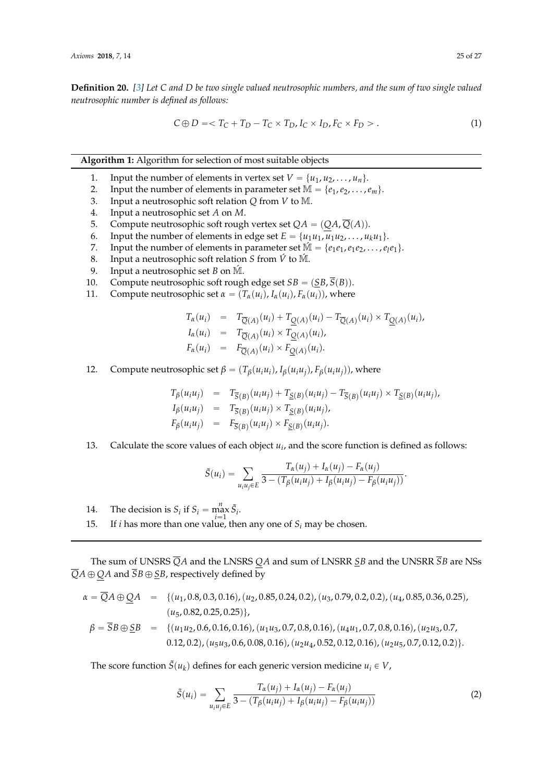**Definition 20.** *[\[3\]](#page-25-2) Let C and D be two single valued neutrosophic numbers, and the sum of two single valued neutrosophic number is defined as follows:*

$$
C \oplus D \leq T_C + T_D - T_C \times T_D, I_C \times I_D, F_C \times F_D > . \tag{1}
$$

**Algorithm 1:** Algorithm for selection of most suitable objects

- <span id="page-24-0"></span>1. Input the number of elements in vertex set  $V = \{u_1, u_2, \ldots, u_n\}.$
- 2. Input the number of elements in parameter set  $\mathbb{M} = \{e_1, e_2, \ldots, e_m\}.$
- 3. Input a neutrosophic soft relation *Q* from *V* to M.
- 4. Input a neutrosophic set *A* on *M*.
- 5. Compute neutrosophic soft rough vertex set  $QA = (QA, \overline{Q}(A))$ .
- 6. Input the number of elements in edge set  $E = \{u_1u_1, u_1u_2, \dots, u_ku_1\}$ .<br>7. Input the number of elements in parameter set  $\mathbb{M} = \{e_1e_1, e_1e_2, \dots, e_l\}$
- 7. Input the number of elements in parameter set  $\mathbb{M} = \{e_1e_1, e_1e_2, \ldots, e_le_1\}.$
- 8. Input a neutrosophic soft relation *S* from  $\acute{V}$  to  $\acute{M}$ .
- 9. Input a neutrosophic set *B* on  $\mathbb{M}$ .
- 10. Compute neutrosophic soft rough edge set  $SB = (\underline{SB}, \overline{S}(B))$ .
- 11. Compute neutrosophic set  $\alpha = (T_\alpha(u_i), I_\alpha(u_i), F_\alpha(u_i))$ , where

$$
T_{\alpha}(u_i) = T_{\overline{Q}(A)}(u_i) + T_{\underline{Q}(A)}(u_i) - T_{\overline{Q}(A)}(u_i) \times T_{\underline{Q}(A)}(u_i),
$$
  
\n
$$
I_{\alpha}(u_i) = T_{\overline{Q}(A)}(u_i) \times T_{\underline{Q}(A)}(u_i),
$$
  
\n
$$
F_{\alpha}(u_i) = F_{\overline{Q}(A)}(u_i) \times F_{\underline{Q}(A)}(u_i).
$$

12. Compute neutrosophic set  $\beta = (T_{\beta}(u_iu_i), I_{\beta}(u_iu_j), F_{\beta}(u_iu_j))$ , where

$$
T_{\beta}(u_i u_j) = T_{\overline{S}(B)}(u_i u_j) + T_{\underline{S}(B)}(u_i u_j) - T_{\overline{S}(B)}(u_i u_j) \times T_{\underline{S}(B)}(u_i u_j),
$$
  
\n
$$
I_{\beta}(u_i u_j) = T_{\overline{S}(B)}(u_i u_j) \times T_{\underline{S}(B)}(u_i u_j),
$$
  
\n
$$
F_{\beta}(u_i u_j) = F_{\overline{S}(B)}(u_i u_j) \times F_{\underline{S}(B)}(u_i u_j).
$$

13. Calculate the score values of each object *u<sup>i</sup>* , and the score function is defined as follows:

$$
\tilde{S}(u_i) = \sum_{u_iu_j \in E} \frac{T_\alpha(u_j) + I_\alpha(u_j) - F_\alpha(u_j)}{3 - (T_\beta(u_iu_j) + I_\beta(u_iu_j) - F_\beta(u_iu_j))}.
$$

- 14. The decision is  $S_i$  if  $S_i = \max_{i=1}^n \tilde{S}_i$ .
- 15. If *i* has more than one value, then any one of *S<sup>i</sup>* may be chosen.

The sum of UNSRS *QA* and the LNSRS *QA* and sum of LNSRR *SB* and the UNSRR *SB* are NSs  $\overline{Q}A \oplus QA$  and  $\overline{S}B \oplus \underline{S}B$ , respectively defined by

$$
\alpha = \overline{Q}A \oplus \underline{Q}A = \{(u_1, 0.8, 0.3, 0.16), (u_2, 0.85, 0.24, 0.2), (u_3, 0.79, 0.2, 0.2), (u_4, 0.85, 0.36, 0.25), (u_5, 0.82, 0.25, 0.25)\},
$$
  
\n
$$
\beta = \overline{S}B \oplus \underline{S}B = \{(u_1u_2, 0.6, 0.16, 0.16), (u_1u_3, 0.7, 0.8, 0.16), (u_4u_1, 0.7, 0.8, 0.16), (u_2u_3, 0.7, 0.12, 0.2), (u_5u_3, 0.6, 0.08, 0.16), (u_2u_4, 0.52, 0.12, 0.16), (u_2u_5, 0.7, 0.12, 0.2)\}.
$$

The score function  $\tilde{S}(u_k)$  defines for each generic version medicine  $u_i \in V$ ,

$$
\tilde{S}(u_i) = \sum_{u_i u_j \in E} \frac{T_{\alpha}(u_j) + I_{\alpha}(u_j) - F_{\alpha}(u_j)}{3 - (T_{\beta}(u_i u_j) + I_{\beta}(u_i u_j) - F_{\beta}(u_i u_j))}
$$
(2)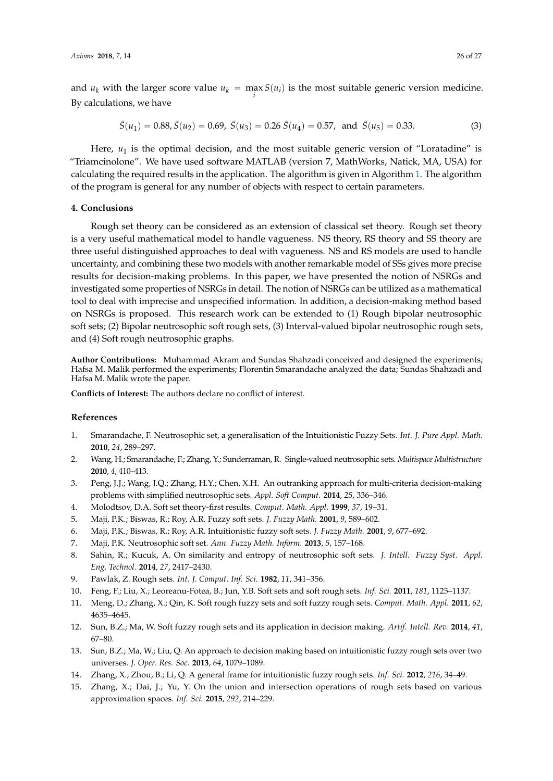and  $u_k$  with the larger score value  $u_k = \max_i S(u_i)$  is the most suitable generic version medicine. By calculations, we have

$$
\tilde{S}(u_1) = 0.88, \tilde{S}(u_2) = 0.69, \ \tilde{S}(u_3) = 0.26 \ \tilde{S}(u_4) = 0.57, \text{ and } \ \tilde{S}(u_5) = 0.33.
$$
 (3)

Here,  $u_1$  is the optimal decision, and the most suitable generic version of "Loratadine" is "Triamcinolone". We have used software MATLAB (version 7, MathWorks, Natick, MA, USA) for calculating the required results in the application. The algorithm is given in Algorithm [1.](#page-24-0) The algorithm of the program is general for any number of objects with respect to certain parameters.

#### **4. Conclusions**

Rough set theory can be considered as an extension of classical set theory. Rough set theory is a very useful mathematical model to handle vagueness. NS theory, RS theory and SS theory are three useful distinguished approaches to deal with vagueness. NS and RS models are used to handle uncertainty, and combining these two models with another remarkable model of SSs gives more precise results for decision-making problems. In this paper, we have presented the notion of NSRGs and investigated some properties of NSRGs in detail. The notion of NSRGs can be utilized as a mathematical tool to deal with imprecise and unspecified information. In addition, a decision-making method based on NSRGs is proposed. This research work can be extended to (1) Rough bipolar neutrosophic soft sets; (2) Bipolar neutrosophic soft rough sets, (3) Interval-valued bipolar neutrosophic rough sets, and (4) Soft rough neutrosophic graphs.

**Author Contributions:** Muhammad Akram and Sundas Shahzadi conceived and designed the experiments; Hafsa M. Malik performed the experiments; Florentin Smarandache analyzed the data; Sundas Shahzadi and Hafsa M. Malik wrote the paper.

**Conflicts of Interest:** The authors declare no conflict of interest.

#### **References**

- <span id="page-25-0"></span>1. Smarandache, F. Neutrosophic set, a generalisation of the Intuitionistic Fuzzy Sets. *Int. J. Pure Appl. Math.* **2010**, *24*, 289–297.
- <span id="page-25-1"></span>2. Wang, H.; Smarandache, F.; Zhang, Y.; Sunderraman, R. Single-valued neutrosophic sets. *Multispace Multistructure* **2010**, *4*, 410–413.
- <span id="page-25-2"></span>3. Peng, J.J.; Wang, J.Q.; Zhang, H.Y.; Chen, X.H. An outranking approach for multi-criteria decision-making problems with simplified neutrosophic sets. *Appl. Soft Comput.* **2014**, *25*, 336–346.
- <span id="page-25-3"></span>4. Molodtsov, D.A. Soft set theory-first results. *Comput. Math. Appl.* **1999**, *37*, 19–31.
- <span id="page-25-4"></span>5. Maji, P.K.; Biswas, R.; Roy, A.R. Fuzzy soft sets. *J. Fuzzy Math.* **2001**, *9*, 589–602.
- 6. Maji, P.K.; Biswas, R.; Roy, A.R. Intuitionistic fuzzy soft sets. *J. Fuzzy Math.* **2001**, *9*, 677–692.
- <span id="page-25-5"></span>7. Maji, P.K. Neutrosophic soft set. *Ann. Fuzzy Math. Inform.* **2013**, *5*, 157–168.
- <span id="page-25-6"></span>8. Sahin, R.; Kucuk, A. On similarity and entropy of neutrosophic soft sets. *J. Intell. Fuzzy Syst. Appl. Eng. Technol.* **2014**, *27*, 2417–2430.
- <span id="page-25-7"></span>9. Pawlak, Z. Rough sets. *Int. J. Comput. Inf. Sci.* **1982**, *11*, 341–356.
- <span id="page-25-8"></span>10. Feng, F.; Liu, X.; Leoreanu-Fotea, B.; Jun, Y.B. Soft sets and soft rough sets. *Inf. Sci.* **2011**, *181*, 1125–1137.
- <span id="page-25-9"></span>11. Meng, D.; Zhang, X.; Qin, K. Soft rough fuzzy sets and soft fuzzy rough sets. *Comput. Math. Appl.* **2011**, *62*, 4635–4645.
- <span id="page-25-10"></span>12. Sun, B.Z.; Ma, W. Soft fuzzy rough sets and its application in decision making. *Artif. Intell. Rev.* **2014**, *41*, 67–80.
- <span id="page-25-11"></span>13. Sun, B.Z.; Ma, W.; Liu, Q. An approach to decision making based on intuitionistic fuzzy rough sets over two universes. *J. Oper. Res. Soc.* **2013**, *64*, 1079–1089.
- <span id="page-25-12"></span>14. Zhang, X.; Zhou, B.; Li, Q. A general frame for intuitionistic fuzzy rough sets. *Inf. Sci.* **2012**, *216*, 34–49.
- <span id="page-25-13"></span>15. Zhang, X.; Dai, J.; Yu, Y. On the union and intersection operations of rough sets based on various approximation spaces. *Inf. Sci.* **2015**, *292*, 214–229.